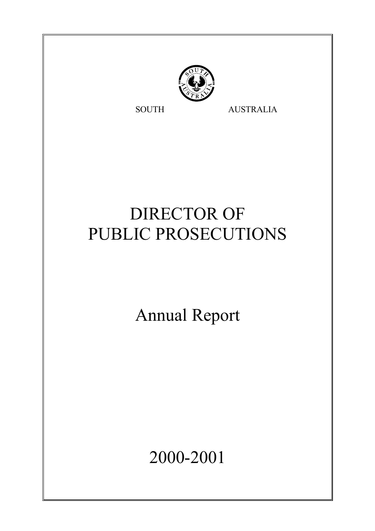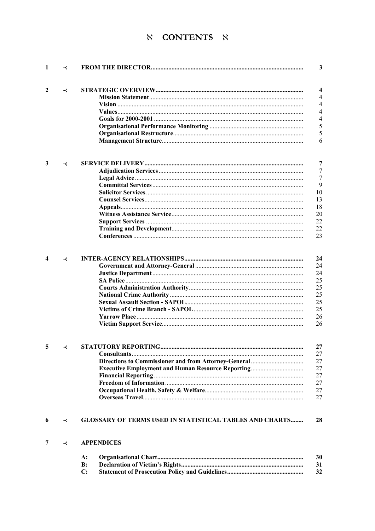# **N CONTENTS N**

| 1 | ≺       |                                                                |
|---|---------|----------------------------------------------------------------|
|   | ≺       |                                                                |
|   |         |                                                                |
|   |         |                                                                |
|   |         |                                                                |
|   |         |                                                                |
|   |         |                                                                |
|   |         |                                                                |
|   |         |                                                                |
|   |         |                                                                |
| 3 | ≺       |                                                                |
|   |         |                                                                |
|   |         |                                                                |
|   |         |                                                                |
|   |         |                                                                |
|   |         |                                                                |
|   |         |                                                                |
|   |         |                                                                |
|   |         |                                                                |
|   |         |                                                                |
|   |         |                                                                |
|   |         |                                                                |
|   | ≺       |                                                                |
|   |         |                                                                |
|   |         |                                                                |
|   |         | <b>Executive Employment and Human Resource Reporting</b>       |
|   |         |                                                                |
|   |         |                                                                |
|   |         |                                                                |
|   |         |                                                                |
|   |         |                                                                |
|   | $\prec$ | <b>GLOSSARY OF TERMS USED IN STATISTICAL TABLES AND CHARTS</b> |
|   | $\prec$ | <b>APPENDICES</b>                                              |
|   |         |                                                                |
|   |         | $A$ :                                                          |
|   |         | B:<br>$\mathbf{C}$ :                                           |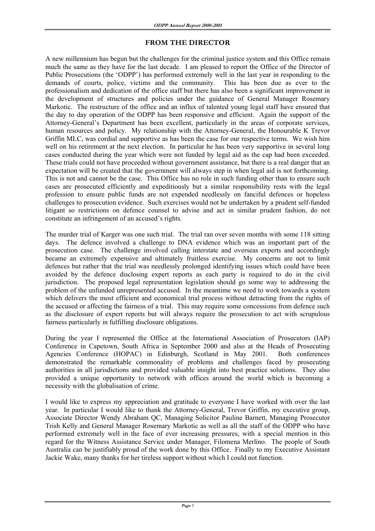# **FROM THE DIRECTOR**

A new millennium has begun but the challenges for the criminal justice system and this Office remain much the same as they have for the last decade. I am pleased to report the Office of the Director of Public Prosecutions (the 'ODPP') has performed extremely well in the last year in responding to the demands of courts, police, victims and the community. This has been due as ever to the professionalism and dedication of the office staff but there has also been a significant improvement in the development of structures and policies under the guidance of General Manager Rosemary Markotic. The restructure of the office and an influx of talented young legal staff have ensured that the day to day operation of the ODPP has been responsive and efficient. Again the support of the Attorney-General's Department has been excellent, particularly in the areas of corporate services, human resources and policy. My relationship with the Attorney-General, the Honourable K Trevor Griffin MLC, was cordial and supportive as has been the case for our respective terms. We wish him well on his retirement at the next election. In particular he has been very supportive in several long cases conducted during the year which were not funded by legal aid as the cap had been exceeded. These trials could not have proceeded without government assistance, but there is a real danger that an expectation will be created that the government will always step in when legal aid is not forthcoming. This is not and cannot be the case. This Office has no role in such funding other than to ensure such cases are prosecuted efficiently and expeditiously but a similar responsibility rests with the legal profession to ensure public funds are not expended needlessly on fanciful defences or hopeless challenges to prosecution evidence. Such exercises would not be undertaken by a prudent self-funded litigant so restrictions on defence counsel to advise and act in similar prudent fashion, do not constitute an infringement of an accused's rights.

The murder trial of Karger was one such trial. The trial ran over seven months with some 118 sitting days. The defence involved a challenge to DNA evidence which was an important part of the prosecution case. The challenge involved calling interstate and overseas experts and accordingly became an extremely expensive and ultimately fruitless exercise. My concerns are not to limit defences but rather that the trial was needlessly prolonged identifying issues which could have been avoided by the defence disclosing expert reports as each party is required to do in the civil jurisdiction. The proposed legal representation legislation should go some way to addressing the problem of the unfunded unrepresented accused. In the meantime we need to work towards a system which delivers the most efficient and economical trial process without detracting from the rights of the accused or affecting the fairness of a trial. This may require some concessions from defence such as the disclosure of expert reports but will always require the prosecution to act with scrupulous fairness particularly in fulfilling disclosure obligations.

During the year I represented the Office at the International Association of Prosecutors (IAP) Conference in Capetown, South Africa in September 2000 and also at the Heads of Prosecuting Agencies Conference (HOPAC) in Edinburgh, Scotland in May 2001. Both conferences demonstrated the remarkable commonality of problems and challenges faced by prosecuting authorities in all jurisdictions and provided valuable insight into best practice solutions. They also provided a unique opportunity to network with offices around the world which is becoming a necessity with the globalisation of crime.

I would like to express my appreciation and gratitude to everyone I have worked with over the last year. In particular I would like to thank the Attorney-General, Trevor Griffin, my executive group, Associate Director Wendy Abraham QC, Managing Solicitor Pauline Barnett, Managing Prosecutor Trish Kelly and General Manager Rosemary Markotic as well as all the staff of the ODPP who have performed extremely well in the face of ever increasing pressures, with a special mention in this regard for the Witness Assistance Service under Manager, Filomena Merlino. The people of South Australia can be justifiably proud of the work done by this Office. Finally to my Executive Assistant Jackie Wake, many thanks for her tireless support without which I could not function.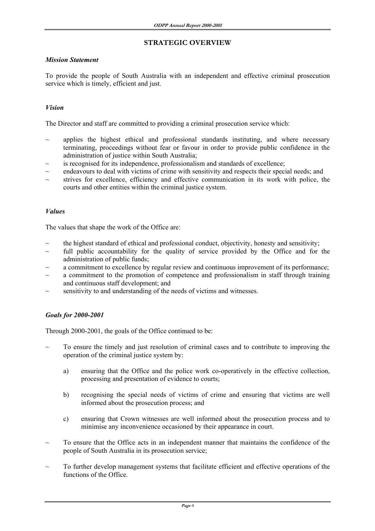# **STRATEGIC OVERVIEW**

# *Mission Statement*

To provide the people of South Australia with an independent and effective criminal prosecution service which is timely, efficient and just.

# *Vision*

The Director and staff are committed to providing a criminal prosecution service which:

- applies the highest ethical and professional standards instituting, and where necessary terminating, proceedings without fear or favour in order to provide public confidence in the administration of justice within South Australia;
- is recognised for its independence, professionalism and standards of excellence;
- $\sim$  endeavours to deal with victims of crime with sensitivity and respects their special needs; and
- strives for excellence, efficiency and effective communication in its work with police, the courts and other entities within the criminal justice system.

# *Values*

The values that shape the work of the Office are:

- the highest standard of ethical and professional conduct, objectivity, honesty and sensitivity;
- full public accountability for the quality of service provided by the Office and for the administration of public funds;
- a commitment to excellence by regular review and continuous improvement of its performance;
- a commitment to the promotion of competence and professionalism in staff through training and continuous staff development; and
- sensitivity to and understanding of the needs of victims and witnesses.

# *Goals for 2000-2001*

Through 2000-2001, the goals of the Office continued to be:

- To ensure the timely and just resolution of criminal cases and to contribute to improving the operation of the criminal justice system by:
	- a) ensuring that the Office and the police work co-operatively in the effective collection, processing and presentation of evidence to courts;
	- b) recognising the special needs of victims of crime and ensuring that victims are well informed about the prosecution process; and
	- c) ensuring that Crown witnesses are well informed about the prosecution process and to minimise any inconvenience occasioned by their appearance in court.
- To ensure that the Office acts in an independent manner that maintains the confidence of the people of South Australia in its prosecution service;
- To further develop management systems that facilitate efficient and effective operations of the functions of the Office.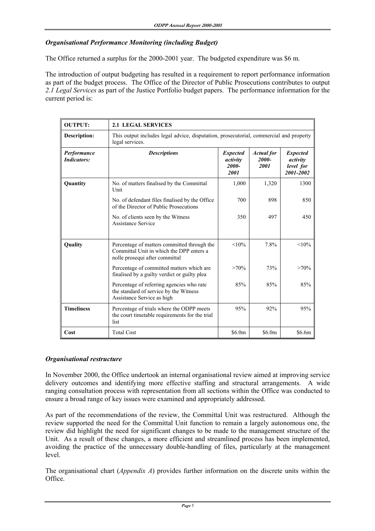# *Organisational Performance Monitoring (including Budget)*

The Office returned a surplus for the 2000-2001 year. The budgeted expenditure was \$6 m.

The introduction of output budgeting has resulted in a requirement to report performance information as part of the budget process. The Office of the Director of Public Prosecutions contributes to output *2.1 Legal Services* as part of the Justice Portfolio budget papers. The performance information for the current period is:

| <b>OUTPUT:</b>                    | <b>2.1 LEGAL SERVICES</b>                                                                                                 |                                              |                                    |                                                       |
|-----------------------------------|---------------------------------------------------------------------------------------------------------------------------|----------------------------------------------|------------------------------------|-------------------------------------------------------|
| Description:                      | This output includes legal advice, disputation, prosecutorial, commercial and property<br>legal services.                 |                                              |                                    |                                                       |
| Performance<br><b>Indicators:</b> | <b>Descriptions</b>                                                                                                       | <b>Expected</b><br>activity<br>2000-<br>2001 | <b>Actual</b> for<br>2000-<br>2001 | <b>Expected</b><br>activity<br>level for<br>2001-2002 |
| Quantity                          | No. of matters finalised by the Committal<br>Unit                                                                         | 1,000                                        | 1,320                              | 1300                                                  |
|                                   | No. of defendant files finalised by the Office<br>of the Director of Public Prosecutions                                  | 700                                          | 898                                | 850                                                   |
|                                   | No. of clients seen by the Witness<br>Assistance Service                                                                  | 350                                          | 497                                | 450                                                   |
| Quality                           | Percentage of matters committed through the<br>Committal Unit in which the DPP enters a<br>nolle prosequi after committal | $< 10\%$                                     | 7.8%                               | < 10%                                                 |
|                                   | Percentage of committed matters which are<br>finalised by a guilty verdict or guilty plea                                 | $>70\%$                                      | 73%                                | $>70\%$                                               |
|                                   | Percentage of referring agencies who rate<br>the standard of service by the Witness<br>Assistance Service as high         | 85%                                          | 85%                                | 85%                                                   |
| <b>Timeliness</b>                 | Percentage of trials where the ODPP meets<br>the court timetable requirements for the trial<br>list                       | 95%                                          | 92%                                | 95%                                                   |
| Cost                              | <b>Total Cost</b>                                                                                                         | \$6.0m                                       | \$6.0m                             | \$6.6m                                                |

# *Organisational restructure*

In November 2000, the Office undertook an internal organisational review aimed at improving service delivery outcomes and identifying more effective staffing and structural arrangements. A wide ranging consultation process with representation from all sections within the Office was conducted to ensure a broad range of key issues were examined and appropriately addressed.

As part of the recommendations of the review, the Committal Unit was restructured. Although the review supported the need for the Committal Unit function to remain a largely autonomous one, the review did highlight the need for significant changes to be made to the management structure of the Unit. As a result of these changes, a more efficient and streamlined process has been implemented, avoiding the practice of the unnecessary double-handling of files, particularly at the management level.

The organisational chart (*Appendix A*) provides further information on the discrete units within the Office.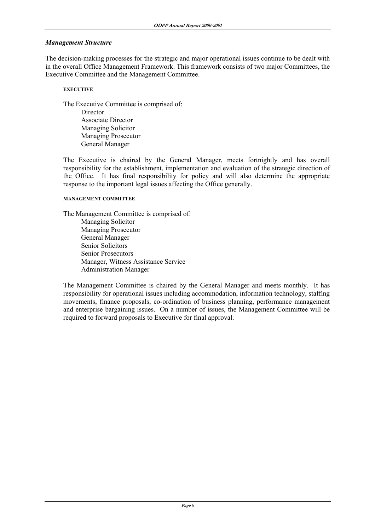# *Management Structure*

The decision-making processes for the strategic and major operational issues continue to be dealt with in the overall Office Management Framework. This framework consists of two major Committees, the Executive Committee and the Management Committee.

# **EXECUTIVE**

 The Executive Committee is comprised of: **Director**  Associate Director Managing Solicitor Managing Prosecutor General Manager

 The Executive is chaired by the General Manager, meets fortnightly and has overall responsibility for the establishment, implementation and evaluation of the strategic direction of the Office. It has final responsibility for policy and will also determine the appropriate response to the important legal issues affecting the Office generally.

# **MANAGEMENT COMMITTEE**

 The Management Committee is comprised of: Managing Solicitor Managing Prosecutor General Manager Senior Solicitors Senior Prosecutors Manager, Witness Assistance Service Administration Manager

 The Management Committee is chaired by the General Manager and meets monthly. It has responsibility for operational issues including accommodation, information technology, staffing movements, finance proposals, co-ordination of business planning, performance management and enterprise bargaining issues. On a number of issues, the Management Committee will be required to forward proposals to Executive for final approval.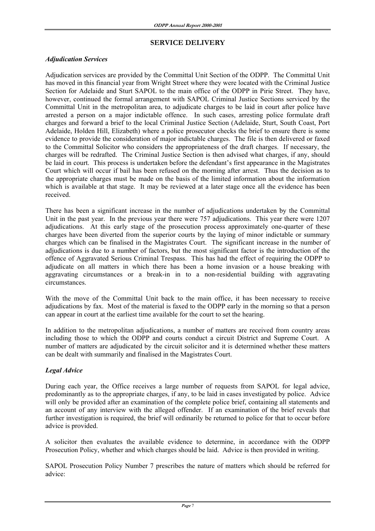# **SERVICE DELIVERY**

# *Adjudication Services*

Adjudication services are provided by the Committal Unit Section of the ODPP. The Committal Unit has moved in this financial year from Wright Street where they were located with the Criminal Justice Section for Adelaide and Sturt SAPOL to the main office of the ODPP in Pirie Street. They have, however, continued the formal arrangement with SAPOL Criminal Justice Sections serviced by the Committal Unit in the metropolitan area, to adjudicate charges to be laid in court after police have arrested a person on a major indictable offence. In such cases, arresting police formulate draft charges and forward a brief to the local Criminal Justice Section (Adelaide, Sturt, South Coast, Port Adelaide, Holden Hill, Elizabeth) where a police prosecutor checks the brief to ensure there is some evidence to provide the consideration of major indictable charges. The file is then delivered or faxed to the Committal Solicitor who considers the appropriateness of the draft charges. If necessary, the charges will be redrafted. The Criminal Justice Section is then advised what charges, if any, should be laid in court. This process is undertaken before the defendant's first appearance in the Magistrates Court which will occur if bail has been refused on the morning after arrest. Thus the decision as to the appropriate charges must be made on the basis of the limited information about the information which is available at that stage. It may be reviewed at a later stage once all the evidence has been received.

There has been a significant increase in the number of adjudications undertaken by the Committal Unit in the past year. In the previous year there were 757 adjudications. This year there were 1207 adjudications. At this early stage of the prosecution process approximately one-quarter of these charges have been diverted from the superior courts by the laying of minor indictable or summary charges which can be finalised in the Magistrates Court. The significant increase in the number of adjudications is due to a number of factors, but the most significant factor is the introduction of the offence of Aggravated Serious Criminal Trespass. This has had the effect of requiring the ODPP to adjudicate on all matters in which there has been a home invasion or a house breaking with aggravating circumstances or a break-in in to a non-residential building with aggravating circumstances.

With the move of the Committal Unit back to the main office, it has been necessary to receive adjudications by fax. Most of the material is faxed to the ODPP early in the morning so that a person can appear in court at the earliest time available for the court to set the hearing.

In addition to the metropolitan adjudications, a number of matters are received from country areas including those to which the ODPP and courts conduct a circuit District and Supreme Court. A number of matters are adjudicated by the circuit solicitor and it is determined whether these matters can be dealt with summarily and finalised in the Magistrates Court.

# *Legal Advice*

During each year, the Office receives a large number of requests from SAPOL for legal advice, predominantly as to the appropriate charges, if any, to be laid in cases investigated by police. Advice will only be provided after an examination of the complete police brief, containing all statements and an account of any interview with the alleged offender. If an examination of the brief reveals that further investigation is required, the brief will ordinarily be returned to police for that to occur before advice is provided.

A solicitor then evaluates the available evidence to determine, in accordance with the ODPP Prosecution Policy, whether and which charges should be laid. Advice is then provided in writing.

SAPOL Prosecution Policy Number 7 prescribes the nature of matters which should be referred for advice: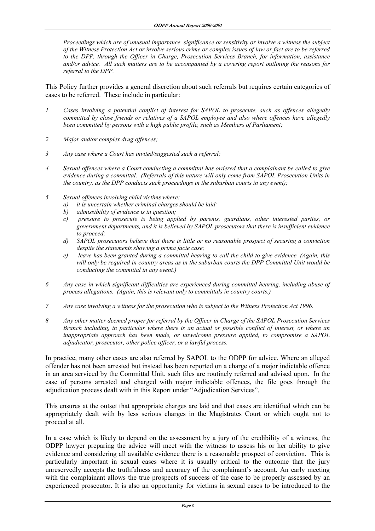*Proceedings which are of unusual importance, significance or sensitivity or involve a witness the subject of the Witness Protection Act or involve serious crime or complex issues of law or fact are to be referred to the DPP, through the Officer in Charge, Prosecution Services Branch, for information, assistance and/or advice. All such matters are to be accompanied by a covering report outlining the reasons for referral to the DPP.* 

This Policy further provides a general discretion about such referrals but requires certain categories of cases to be referred. These include in particular:

- *1 Cases involving a potential conflict of interest for SAPOL to prosecute, such as offences allegedly committed by close friends or relatives of a SAPOL employee and also where offences have allegedly been committed by persons with a high public profile, such as Members of Parliament;*
- *2 Major and/or complex drug offences;*
- *3 Any case where a Court has invited/suggested such a referral;*
- *4 Sexual offences where a Court conducting a committal has ordered that a complainant be called to give evidence during a committal. (Referrals of this nature will only come from SAPOL Prosecution Units in the country, as the DPP conducts such proceedings in the suburban courts in any event);*
- *5 Sexual offences involving child victims where:* 
	- *a) it is uncertain whether criminal charges should be laid;*
	- *b) admissibility of evidence is in question;*
	- *c) pressure to prosecute is being applied by parents, guardians, other interested parties, or government departments, and it is believed by SAPOL prosecutors that there is insufficient evidence to proceed;*
	- *d) SAPOL prosecutors believe that there is little or no reasonable prospect of securing a conviction despite the statements showing a prima facie case;*
	- *e) leave has been granted during a committal hearing to call the child to give evidence. (Again, this will only be required in country areas as in the suburban courts the DPP Committal Unit would be conducting the committal in any event.)*
- *6 Any case in which significant difficulties are experienced during committal hearing, including abuse of process allegations. (Again, this is relevant only to committals in country courts.)*
- *7 Any case involving a witness for the prosecution who is subject to the Witness Protection Act 1996.*
- *8 Any other matter deemed proper for referral by the Officer in Charge of the SAPOL Prosecution Services Branch including, in particular where there is an actual or possible conflict of interest, or where an inappropriate approach has been made, or unwelcome pressure applied, to compromise a SAPOL adjudicator, prosecutor, other police officer, or a lawful process.*

In practice, many other cases are also referred by SAPOL to the ODPP for advice. Where an alleged offender has not been arrested but instead has been reported on a charge of a major indictable offence in an area serviced by the Committal Unit, such files are routinely referred and advised upon. In the case of persons arrested and charged with major indictable offences, the file goes through the adjudication process dealt with in this Report under "Adjudication Services".

This ensures at the outset that appropriate charges are laid and that cases are identified which can be appropriately dealt with by less serious charges in the Magistrates Court or which ought not to proceed at all.

In a case which is likely to depend on the assessment by a jury of the credibility of a witness, the ODPP lawyer preparing the advice will meet with the witness to assess his or her ability to give evidence and considering all available evidence there is a reasonable prospect of conviction. This is particularly important in sexual cases where it is usually critical to the outcome that the jury unreservedly accepts the truthfulness and accuracy of the complainant's account. An early meeting with the complainant allows the true prospects of success of the case to be properly assessed by an experienced prosecutor. It is also an opportunity for victims in sexual cases to be introduced to the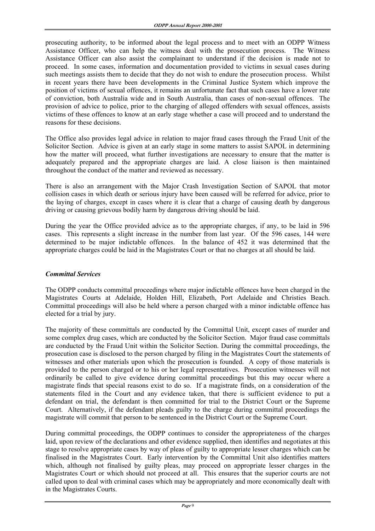prosecuting authority, to be informed about the legal process and to meet with an ODPP Witness Assistance Officer, who can help the witness deal with the prosecution process. The Witness Assistance Officer can also assist the complainant to understand if the decision is made not to proceed. In some cases, information and documentation provided to victims in sexual cases during such meetings assists them to decide that they do not wish to endure the prosecution process. Whilst in recent years there have been developments in the Criminal Justice System which improve the position of victims of sexual offences, it remains an unfortunate fact that such cases have a lower rate of conviction, both Australia wide and in South Australia, than cases of non-sexual offences. The provision of advice to police, prior to the charging of alleged offenders with sexual offences, assists victims of these offences to know at an early stage whether a case will proceed and to understand the reasons for these decisions.

The Office also provides legal advice in relation to major fraud cases through the Fraud Unit of the Solicitor Section. Advice is given at an early stage in some matters to assist SAPOL in determining how the matter will proceed, what further investigations are necessary to ensure that the matter is adequately prepared and the appropriate charges are laid. A close liaison is then maintained throughout the conduct of the matter and reviewed as necessary.

There is also an arrangement with the Major Crash Investigation Section of SAPOL that motor collision cases in which death or serious injury have been caused will be referred for advice, prior to the laying of charges, except in cases where it is clear that a charge of causing death by dangerous driving or causing grievous bodily harm by dangerous driving should be laid.

During the year the Office provided advice as to the appropriate charges, if any, to be laid in 596 cases. This represents a slight increase in the number from last year. Of the 596 cases, 144 were determined to be major indictable offences. In the balance of 452 it was determined that the appropriate charges could be laid in the Magistrates Court or that no charges at all should be laid.

# *Committal Services*

The ODPP conducts committal proceedings where major indictable offences have been charged in the Magistrates Courts at Adelaide, Holden Hill, Elizabeth, Port Adelaide and Christies Beach. Committal proceedings will also be held where a person charged with a minor indictable offence has elected for a trial by jury.

The majority of these committals are conducted by the Committal Unit, except cases of murder and some complex drug cases, which are conducted by the Solicitor Section. Major fraud case committals are conducted by the Fraud Unit within the Solicitor Section. During the committal proceedings, the prosecution case is disclosed to the person charged by filing in the Magistrates Court the statements of witnesses and other materials upon which the prosecution is founded. A copy of those materials is provided to the person charged or to his or her legal representatives. Prosecution witnesses will not ordinarily be called to give evidence during committal proceedings but this may occur where a magistrate finds that special reasons exist to do so. If a magistrate finds, on a consideration of the statements filed in the Court and any evidence taken, that there is sufficient evidence to put a defendant on trial, the defendant is then committed for trial to the District Court or the Supreme Court. Alternatively, if the defendant pleads guilty to the charge during committal proceedings the magistrate will commit that person to be sentenced in the District Court or the Supreme Court.

During committal proceedings, the ODPP continues to consider the appropriateness of the charges laid, upon review of the declarations and other evidence supplied, then identifies and negotiates at this stage to resolve appropriate cases by way of pleas of guilty to appropriate lesser charges which can be finalised in the Magistrates Court. Early intervention by the Committal Unit also identifies matters which, although not finalised by guilty pleas, may proceed on appropriate lesser charges in the Magistrates Court or which should not proceed at all. This ensures that the superior courts are not called upon to deal with criminal cases which may be appropriately and more economically dealt with in the Magistrates Courts.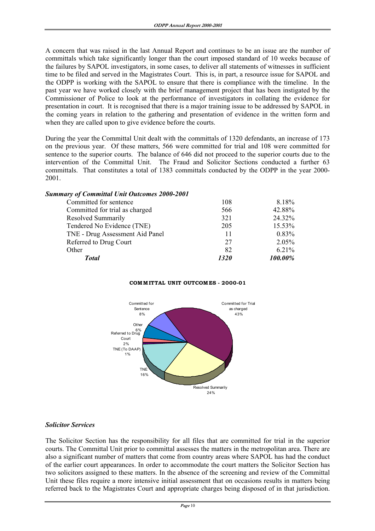A concern that was raised in the last Annual Report and continues to be an issue are the number of committals which take significantly longer than the court imposed standard of 10 weeks because of the failures by SAPOL investigators, in some cases, to deliver all statements of witnesses in sufficient time to be filed and served in the Magistrates Court. This is, in part, a resource issue for SAPOL and the ODPP is working with the SAPOL to ensure that there is compliance with the timeline. In the past year we have worked closely with the brief management project that has been instigated by the Commissioner of Police to look at the performance of investigators in collating the evidence for presentation in court. It is recognised that there is a major training issue to be addressed by SAPOL in the coming years in relation to the gathering and presentation of evidence in the written form and when they are called upon to give evidence before the courts.

During the year the Committal Unit dealt with the committals of 1320 defendants, an increase of 173 on the previous year. Of these matters, 566 were committed for trial and 108 were committed for sentence to the superior courts. The balance of 646 did not proceed to the superior courts due to the intervention of the Committal Unit. The Fraud and Solicitor Sections conducted a further 63 committals. That constitutes a total of 1383 committals conducted by the ODPP in the year 2000- 2001.

| <b>Summary of Committal Unit Outcomes 2000-2001</b> |  |  |
|-----------------------------------------------------|--|--|
|                                                     |  |  |

| <b>Total</b>                    | 1320 | 100.00% |
|---------------------------------|------|---------|
| Other                           | 82   | 6.21%   |
| Referred to Drug Court          | 27   | 2.05%   |
| TNE - Drug Assessment Aid Panel | 11   | 0.83%   |
| Tendered No Evidence (TNE)      | 205  | 15.53%  |
| Resolved Summarily              | 321  | 24.32%  |
| Committed for trial as charged  | 566  | 42.88%  |
| Committed for sentence          | 108  | 8.18%   |
|                                 |      |         |

## **COMM ITTAL UNIT OUTCOM ES - 2000-01**



# *Solicitor Services*

The Solicitor Section has the responsibility for all files that are committed for trial in the superior courts. The Committal Unit prior to committal assesses the matters in the metropolitan area. There are also a significant number of matters that come from country areas where SAPOL has had the conduct of the earlier court appearances. In order to accommodate the court matters the Solicitor Section has two solicitors assigned to these matters. In the absence of the screening and review of the Committal Unit these files require a more intensive initial assessment that on occasions results in matters being referred back to the Magistrates Court and appropriate charges being disposed of in that jurisdiction.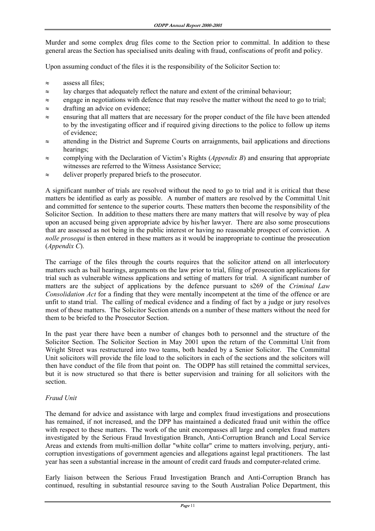Murder and some complex drug files come to the Section prior to committal. In addition to these general areas the Section has specialised units dealing with fraud, confiscations of profit and policy.

Upon assuming conduct of the files it is the responsibility of the Solicitor Section to:

- ≈ assess all files;
- $\approx$  lay charges that adequately reflect the nature and extent of the criminal behaviour;
- ≈ engage in negotiations with defence that may resolve the matter without the need to go to trial;
- ≈ drafting an advice on evidence;
- ≈ ensuring that all matters that are necessary for the proper conduct of the file have been attended to by the investigating officer and if required giving directions to the police to follow up items of evidence;
- ≈ attending in the District and Supreme Courts on arraignments, bail applications and directions hearings;
- ≈ complying with the Declaration of Victim's Rights (*Appendix B*) and ensuring that appropriate witnesses are referred to the Witness Assistance Service;
- ≈ deliver properly prepared briefs to the prosecutor.

A significant number of trials are resolved without the need to go to trial and it is critical that these matters be identified as early as possible. A number of matters are resolved by the Committal Unit and committed for sentence to the superior courts. These matters then become the responsibility of the Solicitor Section. In addition to these matters there are many matters that will resolve by way of plea upon an accused being given appropriate advice by his/her lawyer. There are also some prosecutions that are assessed as not being in the public interest or having no reasonable prospect of conviction. A *nolle prosequi* is then entered in these matters as it would be inappropriate to continue the prosecution (*Appendix C*).

The carriage of the files through the courts requires that the solicitor attend on all interlocutory matters such as bail hearings, arguments on the law prior to trial, filing of prosecution applications for trial such as vulnerable witness applications and setting of matters for trial. A significant number of matters are the subject of applications by the defence pursuant to s269 of the *Criminal Law Consolidation Act* for a finding that they were mentally incompetent at the time of the offence or are unfit to stand trial. The calling of medical evidence and a finding of fact by a judge or jury resolves most of these matters. The Solicitor Section attends on a number of these matters without the need for them to be briefed to the Prosecutor Section.

In the past year there have been a number of changes both to personnel and the structure of the Solicitor Section. The Solicitor Section in May 2001 upon the return of the Committal Unit from Wright Street was restructured into two teams, both headed by a Senior Solicitor. The Committal Unit solicitors will provide the file load to the solicitors in each of the sections and the solicitors will then have conduct of the file from that point on. The ODPP has still retained the committal services, but it is now structured so that there is better supervision and training for all solicitors with the section.

# *Fraud Unit*

The demand for advice and assistance with large and complex fraud investigations and prosecutions has remained, if not increased, and the DPP has maintained a dedicated fraud unit within the office with respect to these matters. The work of the unit encompasses all large and complex fraud matters investigated by the Serious Fraud Investigation Branch, Anti-Corruption Branch and Local Service Areas and extends from multi-million dollar "white collar" crime to matters involving, perjury, anticorruption investigations of government agencies and allegations against legal practitioners. The last year has seen a substantial increase in the amount of credit card frauds and computer-related crime.

Early liaison between the Serious Fraud Investigation Branch and Anti-Corruption Branch has continued, resulting in substantial resource saving to the South Australian Police Department, this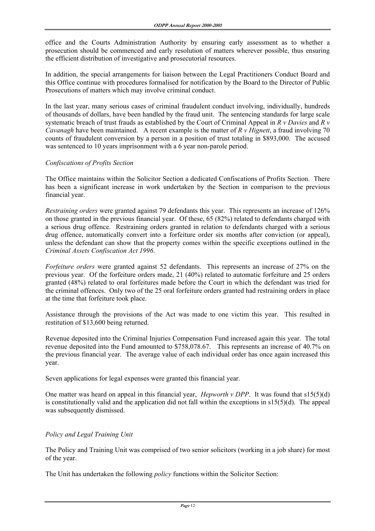office and the Courts Administration Authority by ensuring early assessment as to whether a prosecution should be commenced and early resolution of matters wherever possible, thus ensuring the efficient distribution of investigative and prosecutorial resources.

In addition, the special arrangements for liaison between the Legal Practitioners Conduct Board and this Office continue with procedures formalised for notification by the Board to the Director of Public Prosecutions of matters which may involve criminal conduct.

In the last year, many serious cases of criminal fraudulent conduct involving, individually, hundreds of thousands of dollars, have been handled by the fraud unit. The sentencing standards for large scale systematic breach of trust frauds as established by the Court of Criminal Appeal in *R v Davies* and *R v Cavanagh* have been maintained. A recent example is the matter of *R v Hignett*, a fraud involving 70 counts of fraudulent conversion by a person in a position of trust totaling in \$893,000. The accused was sentenced to 10 years imprisonment with a 6 year non-parole period.

# *Confiscations of Profits Section*

The Office maintains within the Solicitor Section a dedicated Confiscations of Profits Section. There has been a significant increase in work undertaken by the Section in comparison to the previous financial year.

*Restraining orders* were granted against 79 defendants this year. This represents an increase of 126% on those granted in the previous financial year. Of these, 65 (82%) related to defendants charged with a serious drug offence. Restraining orders granted in relation to defendants charged with a serious drug offence, automatically convert into a forfeiture order six months after conviction (or appeal), unless the defendant can show that the property comes within the specific exceptions outlined in the *Criminal Assets Confiscation Act 1996*.

*Forfeiture orders* were granted against 52 defendants. This represents an increase of 27% on the previous year. Of the forfeiture orders made, 21 (40%) related to automatic forfeiture and 25 orders granted (48%) related to oral forfeitures made before the Court in which the defendant was tried for the criminal offences. Only two of the 25 oral forfeiture orders granted had restraining orders in place at the time that forfeiture took place.

Assistance through the provisions of the Act was made to one victim this year. This resulted in restitution of \$13,600 being returned.

Revenue deposited into the Criminal Injuries Compensation Fund increased again this year. The total revenue deposited into the Fund amounted to \$758,078.67. This represents an increase of 40.7% on the previous financial year. The average value of each individual order has once again increased this year.

Seven applications for legal expenses were granted this financial year.

One matter was heard on appeal in this financial year, *Hepworth v DPP*. It was found that s15(5)(d) is constitutionally valid and the application did not fall within the exceptions in  $s15(5)(d)$ . The appeal was subsequently dismissed.

# *Policy and Legal Training Unit*

The Policy and Training Unit was comprised of two senior solicitors (working in a job share) for most of the year.

The Unit has undertaken the following *policy* functions within the Solicitor Section: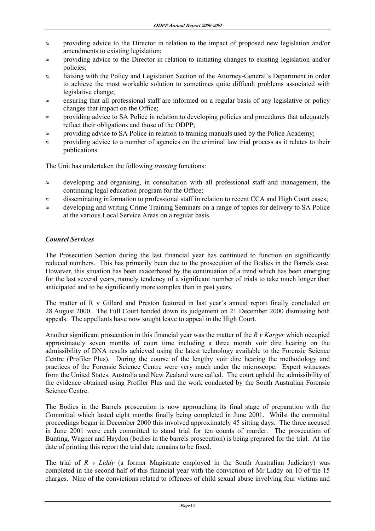- ≈ providing advice to the Director in relation to the impact of proposed new legislation and/or amendments to existing legislation;
- ≈ providing advice to the Director in relation to initiating changes to existing legislation and/or policies;
- ≈ liaising with the Policy and Legislation Section of the Attorney-General's Department in order to achieve the most workable solution to sometimes quite difficult problems associated with legislative change;
- ≈ ensuring that all professional staff are informed on a regular basis of any legislative or policy changes that impact on the Office;
- ≈ providing advice to SA Police in relation to developing policies and procedures that adequately reflect their obligations and those of the ODPP;
- ≈ providing advice to SA Police in relation to training manuals used by the Police Academy;
- ≈ providing advice to a number of agencies on the criminal law trial process as it relates to their publications.

The Unit has undertaken the following *training* functions:

- ≈ developing and organising, in consultation with all professional staff and management, the continuing legal education program for the Office;
- ≈ disseminating information to professional staff in relation to recent CCA and High Court cases;
- ≈ developing and writing Crime Training Seminars on a range of topics for delivery to SA Police at the various Local Service Areas on a regular basis.

# *Counsel Services*

The Prosecution Section during the last financial year has continued to function on significantly reduced numbers. This has primarily been due to the prosecution of the Bodies in the Barrels case. However, this situation has been exacerbated by the continuation of a trend which has been emerging for the last several years, namely tendency of a significant number of trials to take much longer than anticipated and to be significantly more complex than in past years.

The matter of R v Gillard and Preston featured in last year's annual report finally concluded on 28 August 2000. The Full Court handed down its judgement on 21 December 2000 dismissing both appeals. The appellants have now sought leave to appeal in the High Court.

Another significant prosecution in this financial year was the matter of the *R v Karger* which occupied approximately seven months of court time including a three month voir dire hearing on the admissibility of DNA results achieved using the latest technology available to the Forensic Science Centre (Profiler Plus). During the course of the lengthy voir dire hearing the methodology and practices of the Forensic Science Centre were very much under the microscope. Expert witnesses from the United States, Australia and New Zealand were called. The court upheld the admissibility of the evidence obtained using Profiler Plus and the work conducted by the South Australian Forensic Science Centre.

The Bodies in the Barrels prosecution is now approaching its final stage of preparation with the Committal which lasted eight months finally being completed in June 2001. Whilst the committal proceedings began in December 2000 this involved approximately 45 sitting days. The three accused in June 2001 were each committed to stand trial for ten counts of murder. The prosecution of Bunting, Wagner and Haydon (bodies in the barrels prosecution) is being prepared for the trial. At the date of printing this report the trial date remains to be fixed.

The trial of *R v Liddy* (a former Magistrate employed in the South Australian Judiciary) was completed in the second half of this financial year with the conviction of Mr Liddy on 10 of the 15 charges. Nine of the convictions related to offences of child sexual abuse involving four victims and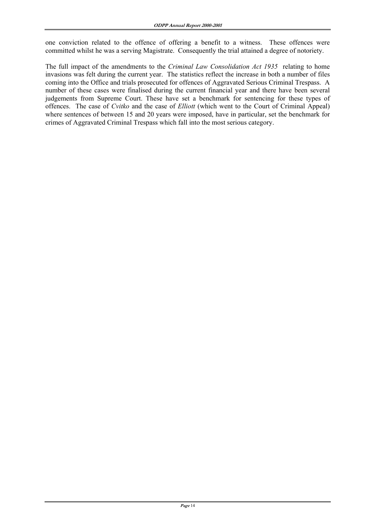one conviction related to the offence of offering a benefit to a witness. These offences were committed whilst he was a serving Magistrate. Consequently the trial attained a degree of notoriety.

The full impact of the amendments to the *Criminal Law Consolidation Act 1935* relating to home invasions was felt during the current year. The statistics reflect the increase in both a number of files coming into the Office and trials prosecuted for offences of Aggravated Serious Criminal Trespass. A number of these cases were finalised during the current financial year and there have been several judgements from Supreme Court. These have set a benchmark for sentencing for these types of offences. The case of *Cvitko* and the case of *Elliott* (which went to the Court of Criminal Appeal) where sentences of between 15 and 20 years were imposed, have in particular, set the benchmark for crimes of Aggravated Criminal Trespass which fall into the most serious category.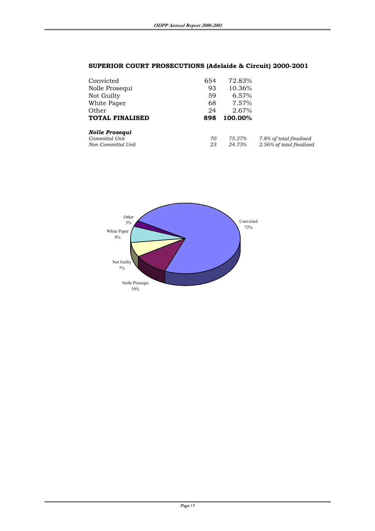# **SUPERIOR COURT PROSECUTIONS (Adelaide & Circuit) 2000-2001**

| Convicted              | 654 | 72.83%  |                          |
|------------------------|-----|---------|--------------------------|
| Nolle Prosequi         | 93  | 10.36%  |                          |
| Not Guilty             | 59  | 6.57%   |                          |
| White Paper            | 68  | 7.57%   |                          |
| Other                  | 24  | 2.67%   |                          |
| <b>TOTAL FINALISED</b> | 898 | 100.00% |                          |
| <b>Nolle Prosequi</b>  |     |         |                          |
| Committal Unit         | 70  | 75.27%  | 7.8% of total finalised  |
| Non Committal Unit     | 23  | 24.73%  | 2.56% of total finalised |

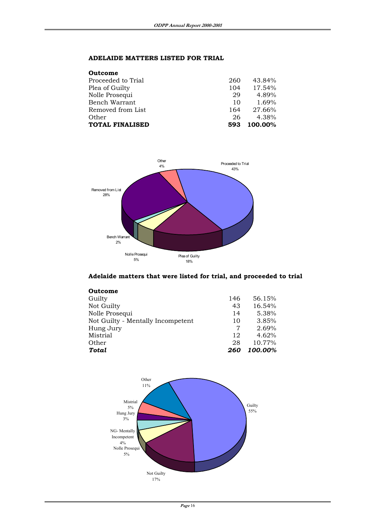# **ADELAIDE MATTERS LISTED FOR TRIAL**

| 260 | 43.84%  |
|-----|---------|
| 104 | 17.54%  |
| 29  | 4.89%   |
| 10  | 1.69%   |
| 164 | 27.66%  |
| 26  | 4.38%   |
| 593 | 100.00% |
|     |         |



# **Adelaide matters that were listed for trial, and proceeded to trial**

| <b>Outcome</b>                    |     |         |
|-----------------------------------|-----|---------|
| Guilty                            | 146 | 56.15%  |
| Not Guilty                        | 43  | 16.54%  |
| Nolle Prosequi                    | 14  | 5.38%   |
| Not Guilty - Mentally Incompetent | 10  | 3.85%   |
| Hung Jury                         | 7   | 2.69%   |
| Mistrial                          | 12  | 4.62%   |
| Other                             | 28  | 10.77%  |
| Total                             | 260 | 100.00% |
|                                   |     |         |

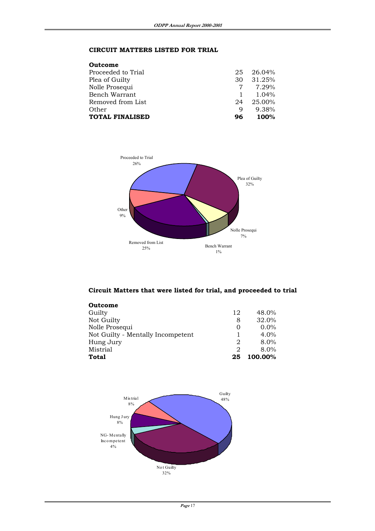# **CIRCUIT MATTERS LISTED FOR TRIAL**

## **Outcome**

| <b>TOTAL FINALISED</b> | 96 | 100%             |
|------------------------|----|------------------|
| Other                  | Q  | 9.38%            |
| Removed from List      | 24 | 25.00%           |
| Bench Warrant          |    | 1.04%            |
| Nolle Prosequi         |    | $7 \quad 7.29\%$ |
| Plea of Guilty         | 30 | 31.25%           |
| Proceeded to Trial     | 25 | 26.04%           |
|                        |    |                  |



# **Circuit Matters that were listed for trial, and proceeded to trial**

| <b>Outcome</b>                    |    |         |
|-----------------------------------|----|---------|
| Guilty                            | 12 | 48.0%   |
| Not Guilty                        | 8  | 32.0%   |
| Nolle Prosequi                    | O  | $0.0\%$ |
| Not Guilty - Mentally Incompetent |    | $4.0\%$ |
| Hung Jury                         | 2  | $8.0\%$ |
| Mistrial                          | 2  | 8.0%    |
| Total                             | 25 | 100.00% |
|                                   |    |         |

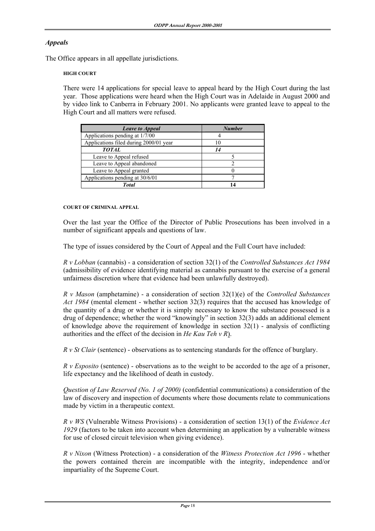# *Appeals*

The Office appears in all appellate jurisdictions.

# **HIGH COURT**

 There were 14 applications for special leave to appeal heard by the High Court during the last year. Those applications were heard when the High Court was in Adelaide in August 2000 and by video link to Canberra in February 2001. No applicants were granted leave to appeal to the High Court and all matters were refused.

| <b>Leave to Appeal</b>                 | <b>Number</b> |
|----------------------------------------|---------------|
| Applications pending at 1/7/00         |               |
| Applications filed during 2000/01 year |               |
| <b>TOTAL</b>                           | 14            |
| Leave to Appeal refused                |               |
| Leave to Appeal abandoned              |               |
| Leave to Appeal granted                |               |
| Applications pending at 30/6/01        |               |
| Total                                  |               |

# **COURT OF CRIMINAL APPEAL**

 Over the last year the Office of the Director of Public Prosecutions has been involved in a number of significant appeals and questions of law.

The type of issues considered by the Court of Appeal and the Full Court have included:

 *R v Lobban* (cannabis) - a consideration of section 32(1) of the *Controlled Substances Act 1984* (admissibility of evidence identifying material as cannabis pursuant to the exercise of a general unfairness discretion where that evidence had been unlawfully destroyed).

 *R v Mason* (amphetamine) - a consideration of section 32(1)(e) of the *Controlled Substances Act 1984* (mental element - whether section 32(3) requires that the accused has knowledge of the quantity of a drug or whether it is simply necessary to know the substance possessed is a drug of dependence; whether the word "knowingly" in section 32(3) adds an additional element of knowledge above the requirement of knowledge in section 32(1) - analysis of conflicting authorities and the effect of the decision in *He Kau Teh v R*).

 *R v St Clair* (sentence) - observations as to sentencing standards for the offence of burglary.

 *R v Esposito* (sentence) - observations as to the weight to be accorded to the age of a prisoner, life expectancy and the likelihood of death in custody.

 *Question of Law Reserved (No. 1 of 2000)* (confidential communications) a consideration of the law of discovery and inspection of documents where those documents relate to communications made by victim in a therapeutic context.

 *R v WS* (Vulnerable Witness Provisions) - a consideration of section 13(1) of the *Evidence Act 1929* (factors to be taken into account when determining an application by a vulnerable witness for use of closed circuit television when giving evidence).

 *R v Nixon* (Witness Protection) - a consideration of the *Witness Protection Act 1996* - whether the powers contained therein are incompatible with the integrity, independence and/or impartiality of the Supreme Court.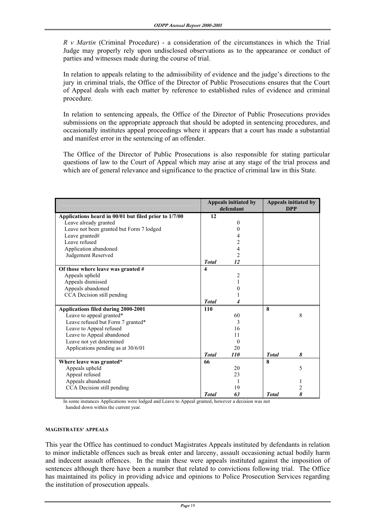*R v Martin* (Criminal Procedure) - a consideration of the circumstances in which the Trial Judge may properly rely upon undisclosed observations as to the appearance or conduct of parties and witnesses made during the course of trial.

 In relation to appeals relating to the admissibility of evidence and the judge's directions to the jury in criminal trials, the Office of the Director of Public Prosecutions ensures that the Court of Appeal deals with each matter by reference to established rules of evidence and criminal procedure.

 In relation to sentencing appeals, the Office of the Director of Public Prosecutions provides submissions on the appropriate approach that should be adopted in sentencing procedures, and occasionally institutes appeal proceedings where it appears that a court has made a substantial and manifest error in the sentencing of an offender.

 The Office of the Director of Public Prosecutions is also responsible for stating particular questions of law to the Court of Appeal which may arise at any stage of the trial process and which are of general relevance and significance to the practice of criminal law in this State.

|                                                       |                  | Appeals initiated by<br>defendant |              | <b>Appeals initiated by</b><br><b>DPP</b> |
|-------------------------------------------------------|------------------|-----------------------------------|--------------|-------------------------------------------|
| Applications heard in 00/01 but filed prior to 1/7/00 | 12               |                                   |              |                                           |
| Leave already granted                                 |                  | $\Omega$                          |              |                                           |
| Leave not been granted but Form 7 lodged              |                  | 0                                 |              |                                           |
| Leave granted#                                        |                  | 4                                 |              |                                           |
| Leave refused                                         |                  | $\overline{\mathbf{c}}$           |              |                                           |
| Application abandoned                                 |                  | $\overline{4}$                    |              |                                           |
| Judgement Reserved                                    |                  | $\overline{c}$                    |              |                                           |
|                                                       | <b>Total</b>     | 12                                |              |                                           |
| Of those where leave was granted #                    | $\boldsymbol{4}$ |                                   |              |                                           |
| Appeals upheld                                        |                  | 2                                 |              |                                           |
| Appeals dismissed                                     |                  |                                   |              |                                           |
| Appeals abandoned                                     |                  | $\overline{0}$                    |              |                                           |
| CCA Decision still pending                            |                  |                                   |              |                                           |
|                                                       | <b>Total</b>     |                                   |              |                                           |
| Applications filed during 2000-2001                   | <b>110</b>       |                                   | 8            |                                           |
| Leave to appeal granted*                              |                  | 60                                |              | 8                                         |
| Leave refused but Form 7 granted*                     |                  | 3                                 |              |                                           |
| Leave to Appeal refused                               |                  | 16                                |              |                                           |
| Leave to Appeal abandoned                             |                  | 11                                |              |                                           |
| Leave not yet determined                              |                  | $\Omega$                          |              |                                           |
| Applications pending as at 30/6/01                    |                  | 20                                |              |                                           |
|                                                       | <b>Total</b>     | <i>110</i>                        | <b>Total</b> | 8                                         |
| Where leave was granted*                              | 66               |                                   | 8            |                                           |
| Appeals upheld                                        |                  | 20                                |              | 5                                         |
| Appeal refused                                        |                  | 23                                |              |                                           |
| Appeals abandoned                                     |                  |                                   |              |                                           |
| CCA Decision still pending                            |                  | 19                                |              | 2                                         |
|                                                       | <b>Total</b>     | 63                                | <b>Total</b> | 8                                         |

 In some instances Applications were lodged and Leave to Appeal granted, however a decision was not handed down within the current year.

## **MAGISTRATES' APPEALS**

 This year the Office has continued to conduct Magistrates Appeals instituted by defendants in relation to minor indictable offences such as break enter and larceny, assault occasioning actual bodily harm and indecent assault offences. In the main these were appeals instituted against the imposition of sentences although there have been a number that related to convictions following trial. The Office has maintained its policy in providing advice and opinions to Police Prosecution Services regarding the institution of prosecution appeals.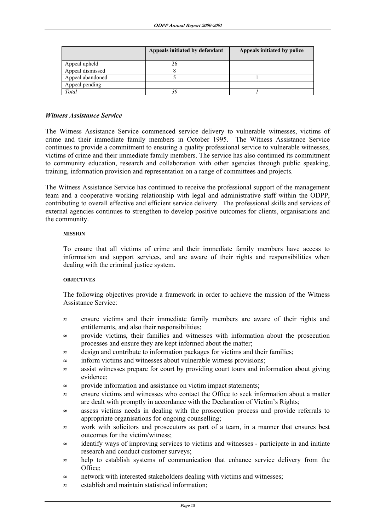|                  | Appeals initiated by defendant | Appeals initiated by police |
|------------------|--------------------------------|-----------------------------|
| Appeal upheld    |                                |                             |
| Appeal dismissed |                                |                             |
| Appeal abandoned |                                |                             |
| Appeal pending   |                                |                             |
| Total            |                                |                             |

# *Witness Assistance Service*

The Witness Assistance Service commenced service delivery to vulnerable witnesses, victims of crime and their immediate family members in October 1995. The Witness Assistance Service continues to provide a commitment to ensuring a quality professional service to vulnerable witnesses, victims of crime and their immediate family members. The service has also continued its commitment to community education, research and collaboration with other agencies through public speaking, training, information provision and representation on a range of committees and projects.

The Witness Assistance Service has continued to receive the professional support of the management team and a cooperative working relationship with legal and administrative staff within the ODPP, contributing to overall effective and efficient service delivery. The professional skills and services of external agencies continues to strengthen to develop positive outcomes for clients, organisations and the community.

# **MISSION**

 To ensure that all victims of crime and their immediate family members have access to information and support services, and are aware of their rights and responsibilities when dealing with the criminal justice system.

# **OBJECTIVES**

 The following objectives provide a framework in order to achieve the mission of the Witness Assistance Service:

- ≈ ensure victims and their immediate family members are aware of their rights and entitlements, and also their responsibilities;
- ≈ provide victims, their families and witnesses with information about the prosecution processes and ensure they are kept informed about the matter;
- ≈ design and contribute to information packages for victims and their families;
- ≈ inform victims and witnesses about vulnerable witness provisions;
- ≈ assist witnesses prepare for court by providing court tours and information about giving evidence;
- ≈ provide information and assistance on victim impact statements;
- ≈ ensure victims and witnesses who contact the Office to seek information about a matter are dealt with promptly in accordance with the Declaration of Victim's Rights;
- ≈ assess victims needs in dealing with the prosecution process and provide referrals to appropriate organisations for ongoing counselling;
- ≈ work with solicitors and prosecutors as part of a team, in a manner that ensures best outcomes for the victim/witness;
- ≈ identify ways of improving services to victims and witnesses participate in and initiate research and conduct customer surveys;
- ≈ help to establish systems of communication that enhance service delivery from the Office:
- ≈ network with interested stakeholders dealing with victims and witnesses;
- ≈ establish and maintain statistical information;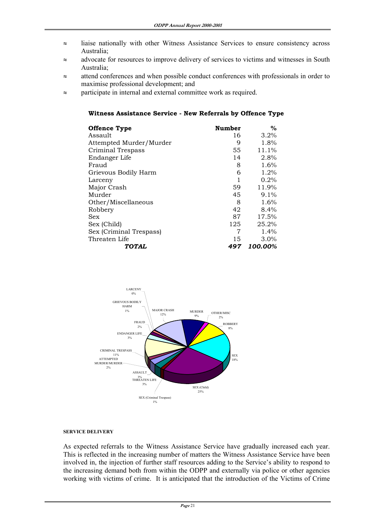- ≈ liaise nationally with other Witness Assistance Services to ensure consistency across Australia;
- ≈ advocate for resources to improve delivery of services to victims and witnesses in South Australia;
- ≈ attend conferences and when possible conduct conferences with professionals in order to maximise professional development; and
- ≈ participate in internal and external committee work as required.

# **Witness Assistance Service - New Referrals by Offence Type**

| <b>Offence Type</b>     | <b>Number</b> | $\%$    |
|-------------------------|---------------|---------|
| Assault                 | 16            | 3.2%    |
| Attempted Murder/Murder | 9             | 1.8%    |
| Criminal Trespass       | 55            | 11.1%   |
| Endanger Life           | 14            | 2.8%    |
| Fraud                   | 8             | 1.6%    |
| Grievous Bodily Harm    | 6             | 1.2%    |
| Larceny                 |               | 0.2%    |
| Major Crash             | 59            | 11.9%   |
| Murder                  | 45            | $9.1\%$ |
| Other/Miscellaneous     | 8             | 1.6%    |
| Robbery                 | 42            | $8.4\%$ |
| Sex                     | 87            | 17.5%   |
| Sex (Child)             | 125           | 25.2%   |
| Sex (Criminal Trespass) | 7             | 1.4%    |
| Threaten Life           | 15            | 3.0%    |
| TOTAL                   | 497           | 100.00% |



## **SERVICE DELIVERY**

 As expected referrals to the Witness Assistance Service have gradually increased each year. This is reflected in the increasing number of matters the Witness Assistance Service have been involved in, the injection of further staff resources adding to the Service's ability to respond to the increasing demand both from within the ODPP and externally via police or other agencies working with victims of crime. It is anticipated that the introduction of the Victims of Crime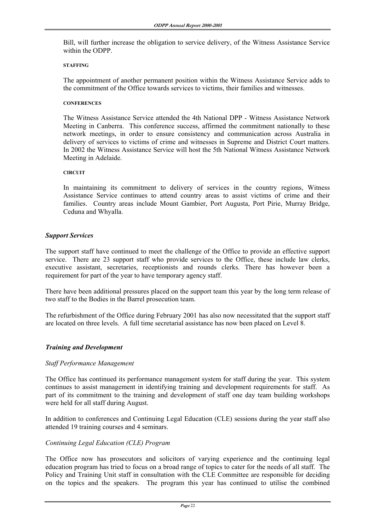Bill, will further increase the obligation to service delivery, of the Witness Assistance Service within the ODPP.

## **STAFFING**

 The appointment of another permanent position within the Witness Assistance Service adds to the commitment of the Office towards services to victims, their families and witnesses.

## **CONFERENCES**

 The Witness Assistance Service attended the 4th National DPP - Witness Assistance Network Meeting in Canberra. This conference success, affirmed the commitment nationally to these network meetings, in order to ensure consistency and communication across Australia in delivery of services to victims of crime and witnesses in Supreme and District Court matters. In 2002 the Witness Assistance Service will host the 5th National Witness Assistance Network Meeting in Adelaide.

# **CIRCUIT**

 In maintaining its commitment to delivery of services in the country regions, Witness Assistance Service continues to attend country areas to assist victims of crime and their families. Country areas include Mount Gambier, Port Augusta, Port Pirie, Murray Bridge, Ceduna and Whyalla.

# *Support Services*

The support staff have continued to meet the challenge of the Office to provide an effective support service. There are 23 support staff who provide services to the Office, these include law clerks, executive assistant, secretaries, receptionists and rounds clerks. There has however been a requirement for part of the year to have temporary agency staff.

There have been additional pressures placed on the support team this year by the long term release of two staff to the Bodies in the Barrel prosecution team.

The refurbishment of the Office during February 2001 has also now necessitated that the support staff are located on three levels. A full time secretarial assistance has now been placed on Level 8.

# *Training and Development*

## *Staff Performance Management*

The Office has continued its performance management system for staff during the year. This system continues to assist management in identifying training and development requirements for staff. As part of its commitment to the training and development of staff one day team building workshops were held for all staff during August.

In addition to conferences and Continuing Legal Education (CLE) sessions during the year staff also attended 19 training courses and 4 seminars.

## *Continuing Legal Education (CLE) Program*

The Office now has prosecutors and solicitors of varying experience and the continuing legal education program has tried to focus on a broad range of topics to cater for the needs of all staff. The Policy and Training Unit staff in consultation with the CLE Committee are responsible for deciding on the topics and the speakers. The program this year has continued to utilise the combined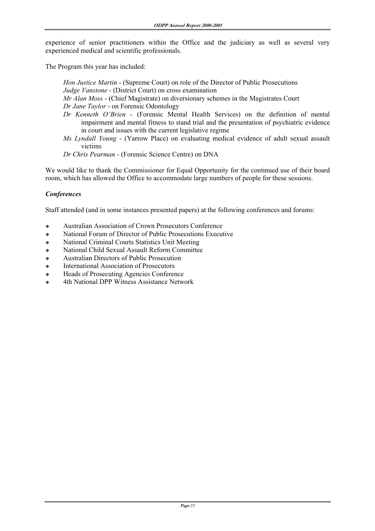experience of senior practitioners within the Office and the judiciary as well as several very experienced medical and scientific professionals.

The Program this year has included:

*Hon Justice Martin* - (Supreme Court) on role of the Director of Public Prosecutions  *Judge Vanstone* - (District Court) on cross examination  *Mr Alan Moss* - (Chief Magistrate) on diversionary schemes in the Magistrates Court  *Dr Jane Taylor* - on Forensic Odontology

- *Dr Kenneth O'Brien* (Forensic Mental Health Services) on the definition of mental impairment and mental fitness to stand trial and the presentation of psychiatric evidence in court and issues with the current legislative regime
- *Ms Lyndall Young* (Yarrow Place) on evaluating medical evidence of adult sexual assault victims
- *Dr Chris Pearman* (Forensic Science Centre) on DNA

We would like to thank the Commissioner for Equal Opportunity for the continued use of their board room, which has allowed the Office to accommodate large numbers of people for these sessions.

# *Conferences*

Staff attended (and in some instances presented papers) at the following conferences and forums:

- ❖ Australian Association of Crown Prosecutors Conference
- ❖ National Forum of Director of Public Prosecutions Executive
- ❖ National Criminal Courts Statistics Unit Meeting
- ❖ National Child Sexual Assault Reform Committee
- ❖ Australian Directors of Public Prosecution
- ❖ International Association of Prosecutors
- ❖ Heads of Prosecuting Agencies Conference
- ❖ 4th National DPP Witness Assistance Network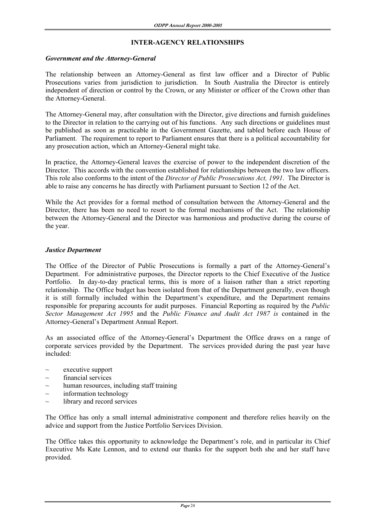# **INTER-AGENCY RELATIONSHIPS**

# *Government and the Attorney-General*

The relationship between an Attorney-General as first law officer and a Director of Public Prosecutions varies from jurisdiction to jurisdiction. In South Australia the Director is entirely independent of direction or control by the Crown, or any Minister or officer of the Crown other than the Attorney-General.

The Attorney-General may, after consultation with the Director, give directions and furnish guidelines to the Director in relation to the carrying out of his functions. Any such directions or guidelines must be published as soon as practicable in the Government Gazette, and tabled before each House of Parliament. The requirement to report to Parliament ensures that there is a political accountability for any prosecution action, which an Attorney-General might take.

In practice, the Attorney-General leaves the exercise of power to the independent discretion of the Director. This accords with the convention established for relationships between the two law officers. This role also conforms to the intent of the *Director of Public Prosecutions Act, 1991*. The Director is able to raise any concerns he has directly with Parliament pursuant to Section 12 of the Act.

While the Act provides for a formal method of consultation between the Attorney-General and the Director, there has been no need to resort to the formal mechanisms of the Act. The relationship between the Attorney-General and the Director was harmonious and productive during the course of the year.

# *Justice Department*

The Office of the Director of Public Prosecutions is formally a part of the Attorney-General's Department. For administrative purposes, the Director reports to the Chief Executive of the Justice Portfolio. In day-to-day practical terms, this is more of a liaison rather than a strict reporting relationship. The Office budget has been isolated from that of the Department generally, even though it is still formally included within the Department's expenditure, and the Department remains responsible for preparing accounts for audit purposes. Financial Reporting as required by the *Public Sector Management Act 1995* and the *Public Finance and Audit Act 1987 is* contained in the Attorney-General's Department Annual Report.

As an associated office of the Attorney-General's Department the Office draws on a range of corporate services provided by the Department. The services provided during the past year have included:

- executive support
- $\sim$  financial services
- human resources, including staff training
- $\sim$  information technology
- $\sim$  library and record services

The Office has only a small internal administrative component and therefore relies heavily on the advice and support from the Justice Portfolio Services Division.

The Office takes this opportunity to acknowledge the Department's role, and in particular its Chief Executive Ms Kate Lennon, and to extend our thanks for the support both she and her staff have provided.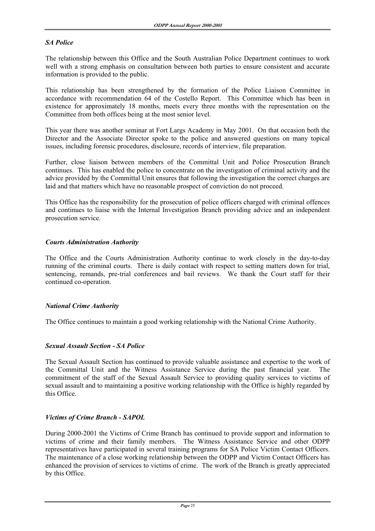# *SA Police*

The relationship between this Office and the South Australian Police Department continues to work well with a strong emphasis on consultation between both parties to ensure consistent and accurate information is provided to the public.

This relationship has been strengthened by the formation of the Police Liaison Committee in accordance with recommendation 64 of the Costello Report. This Committee which has been in existence for approximately 18 months, meets every three months with the representation on the Committee from both offices being at the most senior level.

This year there was another seminar at Fort Largs Academy in May 2001. On that occasion both the Director and the Associate Director spoke to the police and answered questions on many topical issues, including forensic procedures, disclosure, records of interview, file preparation.

Further, close liaison between members of the Committal Unit and Police Prosecution Branch continues. This has enabled the police to concentrate on the investigation of criminal activity and the advice provided by the Committal Unit ensures that following the investigation the correct charges are laid and that matters which have no reasonable prospect of conviction do not proceed.

This Office has the responsibility for the prosecution of police officers charged with criminal offences and continues to liaise with the Internal Investigation Branch providing advice and an independent prosecution service.

# *Courts Administration Authority*

The Office and the Courts Administration Authority continue to work closely in the day-to-day running of the criminal courts. There is daily contact with respect to setting matters down for trial, sentencing, remands, pre-trial conferences and bail reviews. We thank the Court staff for their continued co-operation.

# *National Crime Authority*

The Office continues to maintain a good working relationship with the National Crime Authority.

# *Sexual Assault Section - SA Police*

The Sexual Assault Section has continued to provide valuable assistance and expertise to the work of the Committal Unit and the Witness Assistance Service during the past financial year. The commitment of the staff of the Sexual Assault Service to providing quality services to victims of sexual assault and to maintaining a positive working relationship with the Office is highly regarded by this Office.

# *Victims of Crime Branch - SAPOL*

During 2000-2001 the Victims of Crime Branch has continued to provide support and information to victims of crime and their family members. The Witness Assistance Service and other ODPP representatives have participated in several training programs for SA Police Victim Contact Officers. The maintenance of a close working relationship between the ODPP and Victim Contact Officers has enhanced the provision of services to victims of crime. The work of the Branch is greatly appreciated by this Office.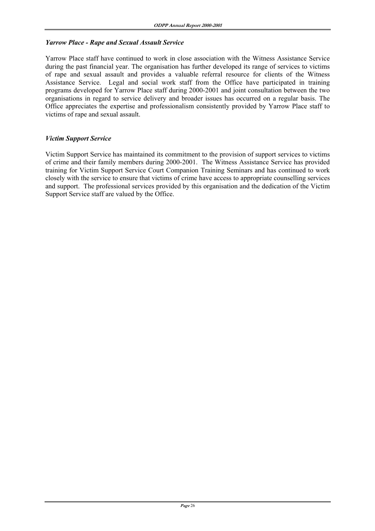# *Yarrow Place - Rape and Sexual Assault Service*

Yarrow Place staff have continued to work in close association with the Witness Assistance Service during the past financial year. The organisation has further developed its range of services to victims of rape and sexual assault and provides a valuable referral resource for clients of the Witness Assistance Service. Legal and social work staff from the Office have participated in training programs developed for Yarrow Place staff during 2000-2001 and joint consultation between the two organisations in regard to service delivery and broader issues has occurred on a regular basis. The Office appreciates the expertise and professionalism consistently provided by Yarrow Place staff to victims of rape and sexual assault.

# *Victim Support Service*

Victim Support Service has maintained its commitment to the provision of support services to victims of crime and their family members during 2000-2001. The Witness Assistance Service has provided training for Victim Support Service Court Companion Training Seminars and has continued to work closely with the service to ensure that victims of crime have access to appropriate counselling services and support. The professional services provided by this organisation and the dedication of the Victim Support Service staff are valued by the Office.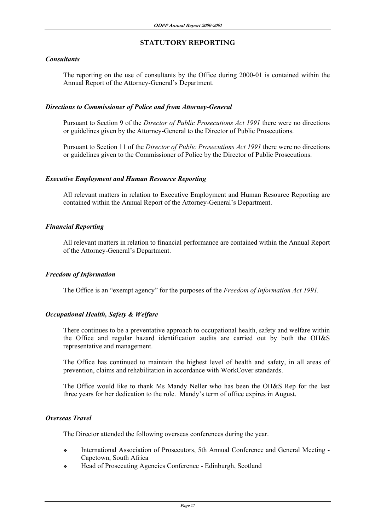# **STATUTORY REPORTING**

# *Consultants*

 The reporting on the use of consultants by the Office during 2000-01 is contained within the Annual Report of the Attorney-General's Department.

# *Directions to Commissioner of Police and from Attorney-General*

 Pursuant to Section 9 of the *Director of Public Prosecutions Act 1991* there were no directions or guidelines given by the Attorney-General to the Director of Public Prosecutions.

 Pursuant to Section 11 of the *Director of Public Prosecutions Act 1991* there were no directions or guidelines given to the Commissioner of Police by the Director of Public Prosecutions.

# *Executive Employment and Human Resource Reporting*

 All relevant matters in relation to Executive Employment and Human Resource Reporting are contained within the Annual Report of the Attorney-General's Department.

# *Financial Reporting*

 All relevant matters in relation to financial performance are contained within the Annual Report of the Attorney-General's Department.

# *Freedom of Information*

The Office is an "exempt agency" for the purposes of the *Freedom of Information Act 1991.* 

# *Occupational Health, Safety & Welfare*

 There continues to be a preventative approach to occupational health, safety and welfare within the Office and regular hazard identification audits are carried out by both the OH&S representative and management.

 The Office has continued to maintain the highest level of health and safety, in all areas of prevention, claims and rehabilitation in accordance with WorkCover standards.

 The Office would like to thank Ms Mandy Neller who has been the OH&S Rep for the last three years for her dedication to the role. Mandy's term of office expires in August.

# *Overseas Travel*

The Director attended the following overseas conferences during the year.

- ❖ International Association of Prosecutors, 5th Annual Conference and General Meeting Capetown, South Africa
- ❖ Head of Prosecuting Agencies Conference Edinburgh, Scotland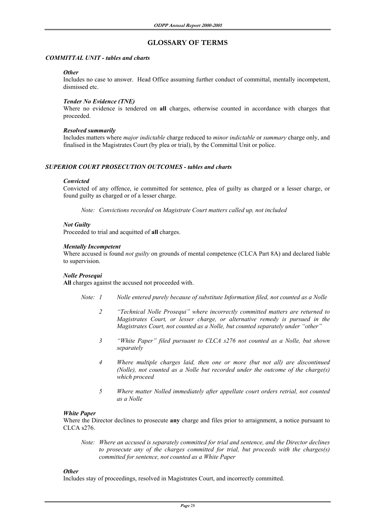# **GLOSSARY OF TERMS**

## *COMMITTAL UNIT - tables and charts*

## *Other*

Includes no case to answer. Head Office assuming further conduct of committal, mentally incompetent, dismissed etc.

## *Tender No Evidence (TNE)*

Where no evidence is tendered on **all** charges, otherwise counted in accordance with charges that proceeded.

## *Resolved summarily*

 Includes matters where *major indictable* charge reduced to *minor indictable* or *summary* charge only, and finalised in the Magistrates Court (by plea or trial), by the Committal Unit or police.

## *SUPERIOR COURT PROSECUTION OUTCOMES - tables and charts*

## *Convicted*

 Convicted of any offence, ie committed for sentence, plea of guilty as charged or a lesser charge, or found guilty as charged or of a lesser charge.

*Note: Convictions recorded on Magistrate Court matters called up, not included*

## *Not Guilty*

Proceeded to trial and acquitted of **all** charges.

## *Mentally Incompetent*

 Where accused is found *not guilty* on grounds of mental competence (CLCA Part 8A) and declared liable to supervision.

### *Nolle Prosequi*

**All** charges against the accused not proceeded with.

- *Note: 1 Nolle entered purely because of substitute Information filed, not counted as a Nolle* 
	- *2 "Technical Nolle Prosequi" where incorrectly committed matters are returned to Magistrates Court, or lesser charge, or alternative remedy is pursued in the Magistrates Court, not counted as a Nolle, but counted separately under "other"*
	- *3 "White Paper" filed pursuant to CLCA s276 not counted as a Nolle, but shown separately*
	- *4 Where multiple charges laid, then one or more (but not all) are discontinued (Nolle), not counted as a Nolle but recorded under the outcome of the charge(s) which proceed*
	- *5 Where matter Nolled immediately after appellate court orders retrial, not counted as a Nolle*

### *White Paper*

 Where the Director declines to prosecute **any** charge and files prior to arraignment, a notice pursuant to CLCA s276.

 *Note: Where an accused is separately committed for trial and sentence, and the Director declines to prosecute any of the charges committed for trial, but proceeds with the charges(s) committed for sentence, not counted as a White Paper* 

# *Other*

Includes stay of proceedings, resolved in Magistrates Court, and incorrectly committed.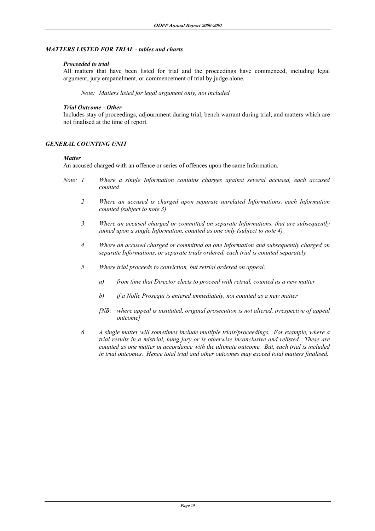# *MATTERS LISTED FOR TRIAL - tables and charts*

## *Proceeded to trial*

All matters that have been listed for trial and the proceedings have commenced, including legal argument, jury empanelment, or commencement of trial by judge alone.

*Note: Matters listed for legal argument only, not included* 

## *Trial Outcome - Other*

Includes stay of proceedings, adjournment during trial, bench warrant during trial, and matters which are not finalised at the time of report.

## *GENERAL COUNTING UNIT*

## *Matter*

An accused charged with an offence or series of offences upon the same Information.

- *Note: 1 Where a single Information contains charges against several accused, each accused counted* 
	- *2 Where an accused is charged upon separate unrelated Informations, each Information counted (subject to note 3)*
	- *3 Where an accused charged or committed on separate Informations, that are subsequently joined upon a single Information, counted as one only (subject to note 4)*
	- *4 Where an accused charged or committed on one Information and subsequently charged on separate Informations, or separate trials ordered, each trial is counted separately*
	- *5 Where trial proceeds to conviction, but retrial ordered on appeal:* 
		- *a) from time that Director elects to proceed with retrial, counted as a new matter*
		- *b) if a Nolle Prosequi is entered immediately, not counted as a new matter*
		- *[NB: where appeal is instituted, original prosecution is not altered, irrespective of appeal outcome]*
	- *6 A single matter will sometimes include multiple trials/proceedings. For example, where a trial results in a mistrial, hung jury or is otherwise inconclusive and relisted. These are counted as one matter in accordance with the ultimate outcome. But, each trial is included in trial outcomes. Hence total trial and other outcomes may exceed total matters finalised.*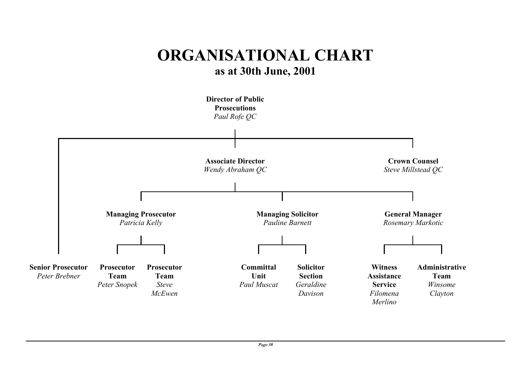# **ORGANISATIONAL CHART as at 30th June, 2001**

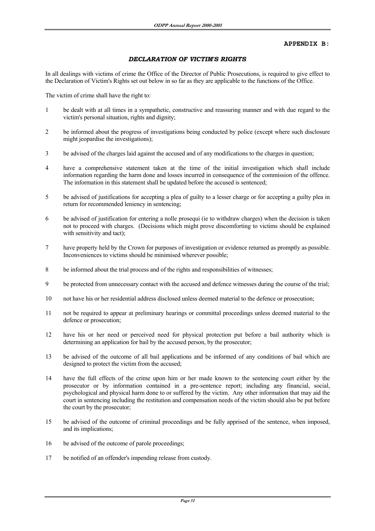## **APPENDIX B:**

# *DECLARATION OF VICTIM'S RIGHTS*

In all dealings with victims of crime the Office of the Director of Public Prosecutions, is required to give effect to the Declaration of Victim's Rights set out below in so far as they are applicable to the functions of the Office.

The victim of crime shall have the right to:

- 1 be dealt with at all times in a sympathetic, constructive and reassuring manner and with due regard to the victim's personal situation, rights and dignity;
- 2 be informed about the progress of investigations being conducted by police (except where such disclosure might jeopardise the investigations);
- 3 be advised of the charges laid against the accused and of any modifications to the charges in question;
- 4 have a comprehensive statement taken at the time of the initial investigation which shall include information regarding the harm done and losses incurred in consequence of the commission of the offence. The information in this statement shall be updated before the accused is sentenced;
- 5 be advised of justifications for accepting a plea of guilty to a lesser charge or for accepting a guilty plea in return for recommended leniency in sentencing;
- 6 be advised of justification for entering a nolle prosequi (ie to withdraw charges) when the decision is taken not to proceed with charges. (Decisions which might prove discomforting to victims should be explained with sensitivity and tact);
- 7 have property held by the Crown for purposes of investigation or evidence returned as promptly as possible. Inconveniences to victims should be minimised wherever possible;
- 8 be informed about the trial process and of the rights and responsibilities of witnesses;
- 9 be protected from unnecessary contact with the accused and defence witnesses during the course of the trial;
- 10 not have his or her residential address disclosed unless deemed material to the defence or prosecution;
- 11 not be required to appear at preliminary hearings or committal proceedings unless deemed material to the defence or prosecution;
- 12 have his or her need or perceived need for physical protection put before a bail authority which is determining an application for bail by the accused person, by the prosecutor;
- 13 be advised of the outcome of all bail applications and be informed of any conditions of bail which are designed to protect the victim from the accused;
- 14 have the full effects of the crime upon him or her made known to the sentencing court either by the prosecutor or by information contained in a pre-sentence report; including any financial, social, psychological and physical harm done to or suffered by the victim. Any other information that may aid the court in sentencing including the restitution and compensation needs of the victim should also be put before the court by the prosecutor;
- 15 be advised of the outcome of criminal proceedings and be fully apprised of the sentence, when imposed, and its implications;
- 16 be advised of the outcome of parole proceedings;
- 17 be notified of an offender's impending release from custody.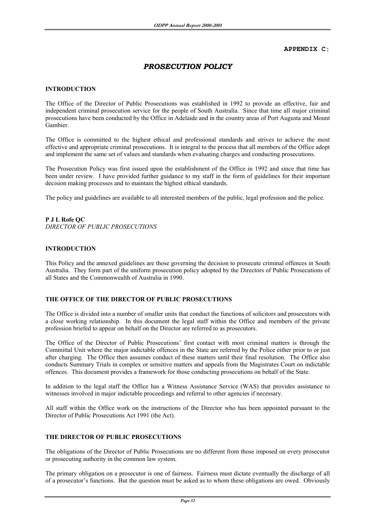# **APPENDIX C:**

# *PROSECUTION POLICY*

## **INTRODUCTION**

The Office of the Director of Public Prosecutions was established in 1992 to provide an effective, fair and independent criminal prosecution service for the people of South Australia. Since that time all major criminal prosecutions have been conducted by the Office in Adelaide and in the country areas of Port Augusta and Mount Gambier.

The Office is committed to the highest ethical and professional standards and strives to achieve the most effective and appropriate criminal prosecutions. It is integral to the process that all members of the Office adopt and implement the same set of values and standards when evaluating charges and conducting prosecutions.

The Prosecution Policy was first issued upon the establishment of the Office in 1992 and since that time has been under review. I have provided further guidance to my staff in the form of guidelines for their important decision making processes and to maintain the highest ethical standards.

The policy and guidelines are available to all interested members of the public, legal profession and the police.

# **P J L Rofe QC** *DIRECTOR OF PUBLIC PROSECUTIONS*

# **INTRODUCTION**

This Policy and the annexed guidelines are those governing the decision to prosecute criminal offences in South Australia. They form part of the uniform prosecution policy adopted by the Directors of Public Prosecutions of all States and the Commonwealth of Australia in 1990.

## **THE OFFICE OF THE DIRECTOR OF PUBLIC PROSECUTIONS**

The Office is divided into a number of smaller units that conduct the functions of solicitors and prosecutors with a close working relationship. In this document the legal staff within the Office and members of the private profession briefed to appear on behalf on the Director are referred to as prosecutors.

The Office of the Director of Public Prosecutions' first contact with most criminal matters is through the Committal Unit where the major indictable offences in the State are referred by the Police either prior to or just after charging. The Office then assumes conduct of these matters until their final resolution. The Office also conducts Summary Trials in complex or sensitive matters and appeals from the Magistrates Court on indictable offences. This document provides a framework for those conducting prosecutions on behalf of the State.

In addition to the legal staff the Office has a Witness Assistance Service (WAS) that provides assistance to witnesses involved in major indictable proceedings and referral to other agencies if necessary.

All staff within the Office work on the instructions of the Director who has been appointed pursuant to the Director of Public Prosecutions Act 1991 (the Act).

## **THE DIRECTOR OF PUBLIC PROSECUTIONS**

The obligations of the Director of Public Prosecutions are no different from those imposed on every prosecutor or prosecuting authority in the common law system.

The primary obligation on a prosecutor is one of fairness. Fairness must dictate eventually the discharge of all of a prosecutor's functions. But the question must be asked as to whom these obligations are owed. Obviously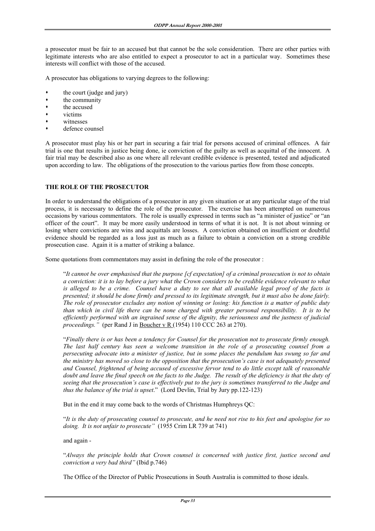a prosecutor must be fair to an accused but that cannot be the sole consideration. There are other parties with legitimate interests who are also entitled to expect a prosecutor to act in a particular way. Sometimes these interests will conflict with those of the accused.

A prosecutor has obligations to varying degrees to the following:

- the court (judge and jury)
- the community
- the accused
- victims
- witnesses
- defence counsel

A prosecutor must play his or her part in securing a fair trial for persons accused of criminal offences. A fair trial is one that results in justice being done, ie conviction of the guilty as well as acquittal of the innocent. A fair trial may be described also as one where all relevant credible evidence is presented, tested and adjudicated upon according to law. The obligations of the prosecution to the various parties flow from those concepts.

# **THE ROLE OF THE PROSECUTOR**

In order to understand the obligations of a prosecutor in any given situation or at any particular stage of the trial process, it is necessary to define the role of the prosecutor. The exercise has been attempted on numerous occasions by various commentators. The role is usually expressed in terms such as "a minister of justice" or "an officer of the court". It may be more easily understood in terms of what it is not. It is not about winning or losing where convictions are wins and acquittals are losses. A conviction obtained on insufficient or doubtful evidence should be regarded as a loss just as much as a failure to obtain a conviction on a strong credible prosecution case. Again it is a matter of striking a balance.

Some quotations from commentators may assist in defining the role of the prosecutor :

 "*It cannot be over emphasised that the purpose [cf expectation] of a criminal prosecution is not to obtain a conviction: it is to lay before a jury what the Crown considers to be credible evidence relevant to what is alleged to be a crime. Counsel have a duty to see that all available legal proof of the facts is presented; it should be done firmly and pressed to its legitimate strength, but it must also be done fairly. The role of prosecutor excludes any notion of winning or losing: his function is a matter of public duty than which in civil life there can be none charged with greater personal responsibility. It is to be efficiently performed with an ingrained sense of the dignity, the seriousness and the justness of judicial proceedings."* (per Rand J in Boucher v R (1954) 110 CCC 263 at 270).

 "*Finally there is or has been a tendency for Counsel for the prosecution not to prosecute firmly enough. The last half century has seen a welcome transition in the role of a prosecuting counsel from a persecuting advocate into a minister of justice, but in some places the pendulum has swung so far and the ministry has moved so close to the opposition that the prosecution's case is not adequately presented and Counsel, frightened of being accused of excessive fervor tend to do little except talk of reasonable doubt and leave the final speech on the facts to the Judge. The result of the deficiency is that the duty of seeing that the prosecution's case is effectively put to the jury is sometimes transferred to the Judge and thus the balance of the trial is upset*." (Lord Devlin, Trial by Jury pp.122-123)

But in the end it may come back to the words of Christmas Humphreys QC:

 "*It is the duty of prosecuting counsel to prosecute, and he need not rise to his feet and apologise for so doing. It is not unfair to prosecute"* (1955 Crim LR 739 at 741)

# and again -

 "*Always the principle holds that Crown counsel is concerned with justice first, justice second and conviction a very bad third"* (Ibid p.746)

The Office of the Director of Public Prosecutions in South Australia is committed to those ideals.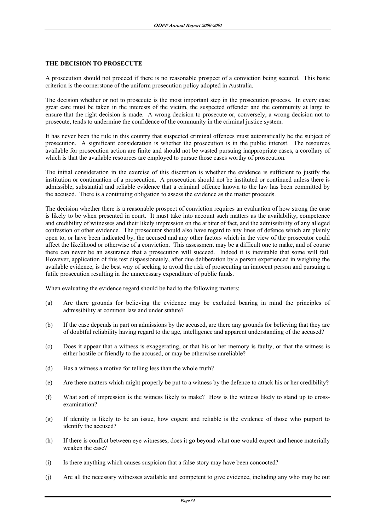## **THE DECISION TO PROSECUTE**

A prosecution should not proceed if there is no reasonable prospect of a conviction being secured. This basic criterion is the cornerstone of the uniform prosecution policy adopted in Australia.

The decision whether or not to prosecute is the most important step in the prosecution process. In every case great care must be taken in the interests of the victim, the suspected offender and the community at large to ensure that the right decision is made. A wrong decision to prosecute or, conversely, a wrong decision not to prosecute, tends to undermine the confidence of the community in the criminal justice system.

It has never been the rule in this country that suspected criminal offences must automatically be the subject of prosecution. A significant consideration is whether the prosecution is in the public interest. The resources available for prosecution action are finite and should not be wasted pursuing inappropriate cases, a corollary of which is that the available resources are employed to pursue those cases worthy of prosecution.

The initial consideration in the exercise of this discretion is whether the evidence is sufficient to justify the institution or continuation of a prosecution. A prosecution should not be instituted or continued unless there is admissible, substantial and reliable evidence that a criminal offence known to the law has been committed by the accused. There is a continuing obligation to assess the evidence as the matter proceeds.

The decision whether there is a reasonable prospect of conviction requires an evaluation of how strong the case is likely to be when presented in court. It must take into account such matters as the availability, competence and credibility of witnesses and their likely impression on the arbiter of fact, and the admissibility of any alleged confession or other evidence. The prosecutor should also have regard to any lines of defence which are plainly open to, or have been indicated by, the accused and any other factors which in the view of the prosecutor could affect the likelihood or otherwise of a conviction. This assessment may be a difficult one to make, and of course there can never be an assurance that a prosecution will succeed. Indeed it is inevitable that some will fail. However, application of this test dispassionately, after due deliberation by a person experienced in weighing the available evidence, is the best way of seeking to avoid the risk of prosecuting an innocent person and pursuing a futile prosecution resulting in the unnecessary expenditure of public funds.

When evaluating the evidence regard should be had to the following matters:

- (a) Are there grounds for believing the evidence may be excluded bearing in mind the principles of admissibility at common law and under statute?
- (b) If the case depends in part on admissions by the accused, are there any grounds for believing that they are of doubtful reliability having regard to the age, intelligence and apparent understanding of the accused?
- (c) Does it appear that a witness is exaggerating, or that his or her memory is faulty, or that the witness is either hostile or friendly to the accused, or may be otherwise unreliable?
- (d) Has a witness a motive for telling less than the whole truth?
- (e) Are there matters which might properly be put to a witness by the defence to attack his or her credibility?
- (f) What sort of impression is the witness likely to make? How is the witness likely to stand up to crossexamination?
- (g) If identity is likely to be an issue, how cogent and reliable is the evidence of those who purport to identify the accused?
- (h) If there is conflict between eye witnesses, does it go beyond what one would expect and hence materially weaken the case?
- (i) Is there anything which causes suspicion that a false story may have been concocted?
- (j) Are all the necessary witnesses available and competent to give evidence, including any who may be out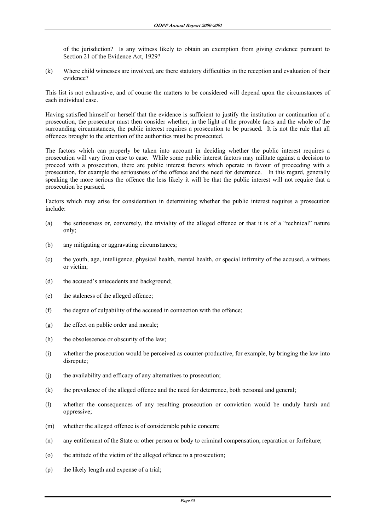of the jurisdiction? Is any witness likely to obtain an exemption from giving evidence pursuant to Section 21 of the Evidence Act, 1929?

(k) Where child witnesses are involved, are there statutory difficulties in the reception and evaluation of their evidence?

This list is not exhaustive, and of course the matters to be considered will depend upon the circumstances of each individual case.

Having satisfied himself or herself that the evidence is sufficient to justify the institution or continuation of a prosecution, the prosecutor must then consider whether, in the light of the provable facts and the whole of the surrounding circumstances, the public interest requires a prosecution to be pursued. It is not the rule that all offences brought to the attention of the authorities must be prosecuted.

The factors which can properly be taken into account in deciding whether the public interest requires a prosecution will vary from case to case. While some public interest factors may militate against a decision to proceed with a prosecution, there are public interest factors which operate in favour of proceeding with a prosecution, for example the seriousness of the offence and the need for deterrence. In this regard, generally speaking the more serious the offence the less likely it will be that the public interest will not require that a prosecution be pursued.

Factors which may arise for consideration in determining whether the public interest requires a prosecution include:

- (a) the seriousness or, conversely, the triviality of the alleged offence or that it is of a "technical" nature only;
- (b) any mitigating or aggravating circumstances;
- (c) the youth, age, intelligence, physical health, mental health, or special infirmity of the accused, a witness or victim;
- (d) the accused's antecedents and background;
- (e) the staleness of the alleged offence;
- (f) the degree of culpability of the accused in connection with the offence;
- (g) the effect on public order and morale;
- (h) the obsolescence or obscurity of the law;
- (i) whether the prosecution would be perceived as counter-productive, for example, by bringing the law into disrepute;
- (j) the availability and efficacy of any alternatives to prosecution;
- (k) the prevalence of the alleged offence and the need for deterrence, both personal and general;
- (l) whether the consequences of any resulting prosecution or conviction would be unduly harsh and oppressive;
- (m) whether the alleged offence is of considerable public concern;
- (n) any entitlement of the State or other person or body to criminal compensation, reparation or forfeiture;
- (o) the attitude of the victim of the alleged offence to a prosecution;
- (p) the likely length and expense of a trial;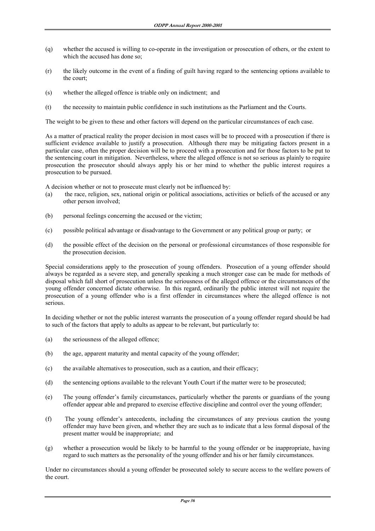- (q) whether the accused is willing to co-operate in the investigation or prosecution of others, or the extent to which the accused has done so;
- (r) the likely outcome in the event of a finding of guilt having regard to the sentencing options available to the court;
- (s) whether the alleged offence is triable only on indictment; and
- (t) the necessity to maintain public confidence in such institutions as the Parliament and the Courts.

The weight to be given to these and other factors will depend on the particular circumstances of each case.

As a matter of practical reality the proper decision in most cases will be to proceed with a prosecution if there is sufficient evidence available to justify a prosecution. Although there may be mitigating factors present in a particular case, often the proper decision will be to proceed with a prosecution and for those factors to be put to the sentencing court in mitigation. Nevertheless, where the alleged offence is not so serious as plainly to require prosecution the prosecutor should always apply his or her mind to whether the public interest requires a prosecution to be pursued.

A decision whether or not to prosecute must clearly not be influenced by:

- (a) the race, religion, sex, national origin or political associations, activities or beliefs of the accused or any other person involved;
- (b) personal feelings concerning the accused or the victim;
- (c) possible political advantage or disadvantage to the Government or any political group or party; or
- (d) the possible effect of the decision on the personal or professional circumstances of those responsible for the prosecution decision.

Special considerations apply to the prosecution of young offenders. Prosecution of a young offender should always be regarded as a severe step, and generally speaking a much stronger case can be made for methods of disposal which fall short of prosecution unless the seriousness of the alleged offence or the circumstances of the young offender concerned dictate otherwise. In this regard, ordinarily the public interest will not require the prosecution of a young offender who is a first offender in circumstances where the alleged offence is not serious.

In deciding whether or not the public interest warrants the prosecution of a young offender regard should be had to such of the factors that apply to adults as appear to be relevant, but particularly to:

- (a) the seriousness of the alleged offence;
- (b) the age, apparent maturity and mental capacity of the young offender;
- (c) the available alternatives to prosecution, such as a caution, and their efficacy;
- (d) the sentencing options available to the relevant Youth Court if the matter were to be prosecuted;
- (e) The young offender's family circumstances, particularly whether the parents or guardians of the young offender appear able and prepared to exercise effective discipline and control over the young offender;
- (f) The young offender's antecedents, including the circumstances of any previous caution the young offender may have been given, and whether they are such as to indicate that a less formal disposal of the present matter would be inappropriate; and
- (g) whether a prosecution would be likely to be harmful to the young offender or be inappropriate, having regard to such matters as the personality of the young offender and his or her family circumstances.

Under no circumstances should a young offender be prosecuted solely to secure access to the welfare powers of the court.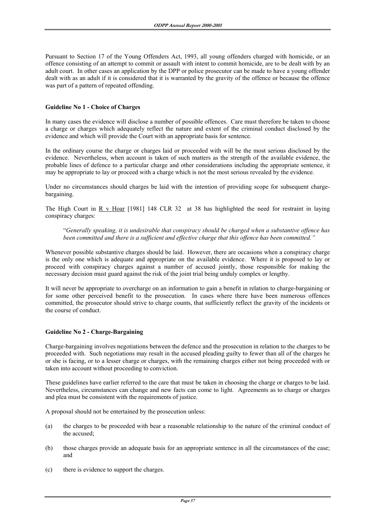Pursuant to Section 17 of the Young Offenders Act, 1993, all young offenders charged with homicide, or an offence consisting of an attempt to commit or assault with intent to commit homicide, are to be dealt with by an adult court. In other cases an application by the DPP or police prosecutor can be made to have a young offender dealt with as an adult if it is considered that it is warranted by the gravity of the offence or because the offence was part of a pattern of repeated offending.

# **Guideline No 1 - Choice of Charges**

In many cases the evidence will disclose a number of possible offences. Care must therefore be taken to choose a charge or charges which adequately reflect the nature and extent of the criminal conduct disclosed by the evidence and which will provide the Court with an appropriate basis for sentence.

In the ordinary course the charge or charges laid or proceeded with will be the most serious disclosed by the evidence. Nevertheless, when account is taken of such matters as the strength of the available evidence, the probable lines of defence to a particular charge and other considerations including the appropriate sentence, it may be appropriate to lay or proceed with a charge which is not the most serious revealed by the evidence.

Under no circumstances should charges be laid with the intention of providing scope for subsequent chargebargaining.

The High Court in R v Hoar  $[1981]$  148 CLR 32 at 38 has highlighted the need for restraint in laying conspiracy charges:

 "*Generally speaking, it is undesirable that conspiracy should be charged when a substantive offence has been committed and there is a sufficient and effective charge that this offence has been committed."*

Whenever possible substantive charges should be laid. However, there are occasions when a conspiracy charge is the only one which is adequate and appropriate on the available evidence. Where it is proposed to lay or proceed with conspiracy charges against a number of accused jointly, those responsible for making the necessary decision must guard against the risk of the joint trial being unduly complex or lengthy.

It will never be appropriate to overcharge on an information to gain a benefit in relation to charge-bargaining or for some other perceived benefit to the prosecution. In cases where there have been numerous offences committed, the prosecutor should strive to charge counts, that sufficiently reflect the gravity of the incidents or the course of conduct.

# **Guideline No 2 - Charge-Bargaining**

Charge-bargaining involves negotiations between the defence and the prosecution in relation to the charges to be proceeded with. Such negotiations may result in the accused pleading guilty to fewer than all of the charges he or she is facing, or to a lesser charge or charges, with the remaining charges either not being proceeded with or taken into account without proceeding to conviction.

These guidelines have earlier referred to the care that must be taken in choosing the charge or charges to be laid. Nevertheless, circumstances can change and new facts can come to light. Agreements as to charge or charges and plea must be consistent with the requirements of justice.

A proposal should not be entertained by the prosecution unless:

- (a) the charges to be proceeded with bear a reasonable relationship to the nature of the criminal conduct of the accused;
- (b) those charges provide an adequate basis for an appropriate sentence in all the circumstances of the case; and
- (c) there is evidence to support the charges.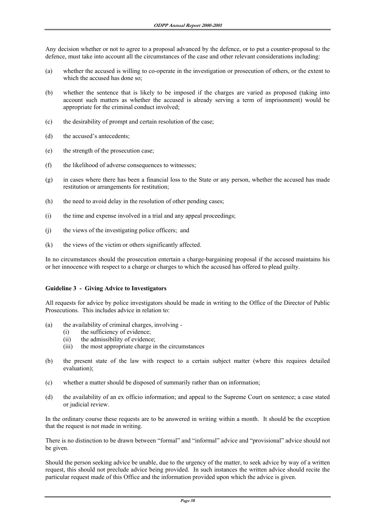Any decision whether or not to agree to a proposal advanced by the defence, or to put a counter-proposal to the defence, must take into account all the circumstances of the case and other relevant considerations including:

- (a) whether the accused is willing to co-operate in the investigation or prosecution of others, or the extent to which the accused has done so;
- (b) whether the sentence that is likely to be imposed if the charges are varied as proposed (taking into account such matters as whether the accused is already serving a term of imprisonment) would be appropriate for the criminal conduct involved;
- (c) the desirability of prompt and certain resolution of the case;
- (d) the accused's antecedents;
- (e) the strength of the prosecution case;
- (f) the likelihood of adverse consequences to witnesses;
- (g) in cases where there has been a financial loss to the State or any person, whether the accused has made restitution or arrangements for restitution;
- (h) the need to avoid delay in the resolution of other pending cases;
- (i) the time and expense involved in a trial and any appeal proceedings;
- (j) the views of the investigating police officers; and
- (k) the views of the victim or others significantly affected.

In no circumstances should the prosecution entertain a charge-bargaining proposal if the accused maintains his or her innocence with respect to a charge or charges to which the accused has offered to plead guilty.

## **Guideline 3 - Giving Advice to Investigators**

All requests for advice by police investigators should be made in writing to the Office of the Director of Public Prosecutions. This includes advice in relation to:

- (a) the availability of criminal charges, involving
	- (i) the sufficiency of evidence;
	- (ii) the admissibility of evidence;
	- (iii) the most appropriate charge in the circumstances
- (b) the present state of the law with respect to a certain subject matter (where this requires detailed evaluation);
- (c) whether a matter should be disposed of summarily rather than on information;
- (d) the availability of an ex officio information; and appeal to the Supreme Court on sentence; a case stated or judicial review.

In the ordinary course these requests are to be answered in writing within a month. It should be the exception that the request is not made in writing.

There is no distinction to be drawn between "formal" and "informal" advice and "provisional" advice should not be given.

Should the person seeking advice be unable, due to the urgency of the matter, to seek advice by way of a written request, this should not preclude advice being provided. In such instances the written advice should recite the particular request made of this Office and the information provided upon which the advice is given.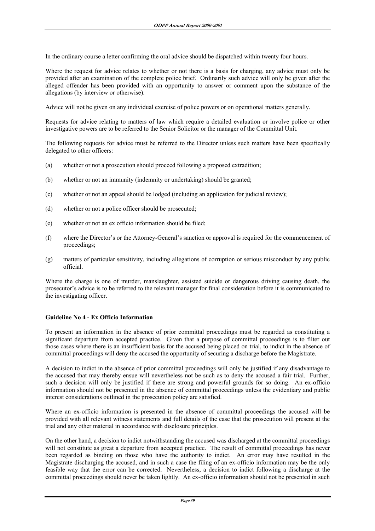In the ordinary course a letter confirming the oral advice should be dispatched within twenty four hours.

Where the request for advice relates to whether or not there is a basis for charging, any advice must only be provided after an examination of the complete police brief. Ordinarily such advice will only be given after the alleged offender has been provided with an opportunity to answer or comment upon the substance of the allegations (by interview or otherwise).

Advice will not be given on any individual exercise of police powers or on operational matters generally.

Requests for advice relating to matters of law which require a detailed evaluation or involve police or other investigative powers are to be referred to the Senior Solicitor or the manager of the Committal Unit.

The following requests for advice must be referred to the Director unless such matters have been specifically delegated to other officers:

- (a) whether or not a prosecution should proceed following a proposed extradition;
- (b) whether or not an immunity (indemnity or undertaking) should be granted;
- (c) whether or not an appeal should be lodged (including an application for judicial review);
- (d) whether or not a police officer should be prosecuted;
- (e) whether or not an ex officio information should be filed;
- (f) where the Director's or the Attorney-General's sanction or approval is required for the commencement of proceedings;
- (g) matters of particular sensitivity, including allegations of corruption or serious misconduct by any public official.

Where the charge is one of murder, manslaughter, assisted suicide or dangerous driving causing death, the prosecutor's advice is to be referred to the relevant manager for final consideration before it is communicated to the investigating officer.

## **Guideline No 4 - Ex Officio Information**

To present an information in the absence of prior committal proceedings must be regarded as constituting a significant departure from accepted practice. Given that a purpose of committal proceedings is to filter out those cases where there is an insufficient basis for the accused being placed on trial, to indict in the absence of committal proceedings will deny the accused the opportunity of securing a discharge before the Magistrate.

A decision to indict in the absence of prior committal proceedings will only be justified if any disadvantage to the accused that may thereby ensue will nevertheless not be such as to deny the accused a fair trial. Further, such a decision will only be justified if there are strong and powerful grounds for so doing. An ex-officio information should not be presented in the absence of committal proceedings unless the evidentiary and public interest considerations outlined in the prosecution policy are satisfied.

Where an ex-officio information is presented in the absence of committal proceedings the accused will be provided with all relevant witness statements and full details of the case that the prosecution will present at the trial and any other material in accordance with disclosure principles.

On the other hand, a decision to indict notwithstanding the accused was discharged at the committal proceedings will not constitute as great a departure from accepted practice. The result of committal proceedings has never been regarded as binding on those who have the authority to indict. An error may have resulted in the Magistrate discharging the accused, and in such a case the filing of an ex-officio information may be the only feasible way that the error can be corrected. Nevertheless, a decision to indict following a discharge at the committal proceedings should never be taken lightly. An ex-officio information should not be presented in such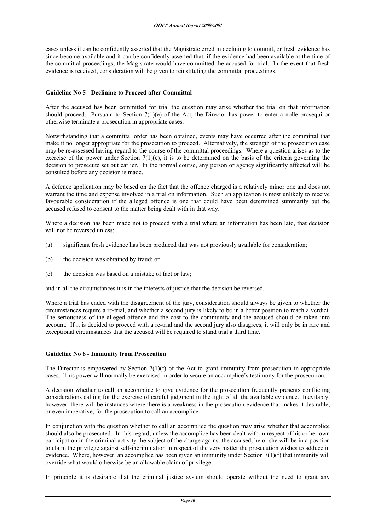cases unless it can be confidently asserted that the Magistrate erred in declining to commit, or fresh evidence has since become available and it can be confidently asserted that, if the evidence had been available at the time of the committal proceedings, the Magistrate would have committed the accused for trial. In the event that fresh evidence is received, consideration will be given to reinstituting the committal proceedings.

# **Guideline No 5 - Declining to Proceed after Committal**

After the accused has been committed for trial the question may arise whether the trial on that information should proceed. Pursuant to Section 7(1)(e) of the Act, the Director has power to enter a nolle prosequi or otherwise terminate a prosecution in appropriate cases.

Notwithstanding that a committal order has been obtained, events may have occurred after the committal that make it no longer appropriate for the prosecution to proceed. Alternatively, the strength of the prosecution case may be re-assessed having regard to the course of the committal proceedings. Where a question arises as to the exercise of the power under Section 7(1)(e), it is to be determined on the basis of the criteria governing the decision to prosecute set out earlier. In the normal course, any person or agency significantly affected will be consulted before any decision is made.

A defence application may be based on the fact that the offence charged is a relatively minor one and does not warrant the time and expense involved in a trial on information. Such an application is most unlikely to receive favourable consideration if the alleged offence is one that could have been determined summarily but the accused refused to consent to the matter being dealt with in that way.

Where a decision has been made not to proceed with a trial where an information has been laid, that decision will not be reversed unless:

- (a) significant fresh evidence has been produced that was not previously available for consideration;
- (b) the decision was obtained by fraud; or
- (c) the decision was based on a mistake of fact or law;

and in all the circumstances it is in the interests of justice that the decision be reversed.

Where a trial has ended with the disagreement of the jury, consideration should always be given to whether the circumstances require a re-trial, and whether a second jury is likely to be in a better position to reach a verdict. The seriousness of the alleged offence and the cost to the community and the accused should be taken into account. If it is decided to proceed with a re-trial and the second jury also disagrees, it will only be in rare and exceptional circumstances that the accused will be required to stand trial a third time.

## **Guideline No 6 - Immunity from Prosecution**

The Director is empowered by Section  $7(1)(f)$  of the Act to grant immunity from prosecution in appropriate cases. This power will normally be exercised in order to secure an accomplice's testimony for the prosecution.

A decision whether to call an accomplice to give evidence for the prosecution frequently presents conflicting considerations calling for the exercise of careful judgment in the light of all the available evidence. Inevitably, however, there will be instances where there is a weakness in the prosecution evidence that makes it desirable, or even imperative, for the prosecution to call an accomplice.

In conjunction with the question whether to call an accomplice the question may arise whether that accomplice should also be prosecuted. In this regard, unless the accomplice has been dealt with in respect of his or her own participation in the criminal activity the subject of the charge against the accused, he or she will be in a position to claim the privilege against self-incrimination in respect of the very matter the prosecution wishes to adduce in evidence. Where, however, an accomplice has been given an immunity under Section 7(1)(f) that immunity will override what would otherwise be an allowable claim of privilege.

In principle it is desirable that the criminal justice system should operate without the need to grant any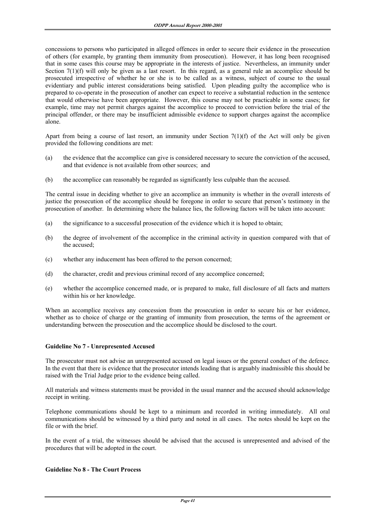concessions to persons who participated in alleged offences in order to secure their evidence in the prosecution of others (for example, by granting them immunity from prosecution). However, it has long been recognised that in some cases this course may be appropriate in the interests of justice. Nevertheless, an immunity under Section 7(1)(f) will only be given as a last resort. In this regard, as a general rule an accomplice should be prosecuted irrespective of whether he or she is to be called as a witness, subject of course to the usual evidentiary and public interest considerations being satisfied. Upon pleading guilty the accomplice who is prepared to co-operate in the prosecution of another can expect to receive a substantial reduction in the sentence that would otherwise have been appropriate. However, this course may not be practicable in some cases; for example, time may not permit charges against the accomplice to proceed to conviction before the trial of the principal offender, or there may be insufficient admissible evidence to support charges against the accomplice alone.

Apart from being a course of last resort, an immunity under Section 7(1)(f) of the Act will only be given provided the following conditions are met:

- (a) the evidence that the accomplice can give is considered necessary to secure the conviction of the accused, and that evidence is not available from other sources; and
- (b) the accomplice can reasonably be regarded as significantly less culpable than the accused.

The central issue in deciding whether to give an accomplice an immunity is whether in the overall interests of justice the prosecution of the accomplice should be foregone in order to secure that person's testimony in the prosecution of another. In determining where the balance lies, the following factors will be taken into account:

- (a) the significance to a successful prosecution of the evidence which it is hoped to obtain;
- (b) the degree of involvement of the accomplice in the criminal activity in question compared with that of the accused;
- (c) whether any inducement has been offered to the person concerned;
- (d) the character, credit and previous criminal record of any accomplice concerned;
- (e) whether the accomplice concerned made, or is prepared to make, full disclosure of all facts and matters within his or her knowledge.

When an accomplice receives any concession from the prosecution in order to secure his or her evidence, whether as to choice of charge or the granting of immunity from prosecution, the terms of the agreement or understanding between the prosecution and the accomplice should be disclosed to the court.

## **Guideline No 7 - Unrepresented Accused**

The prosecutor must not advise an unrepresented accused on legal issues or the general conduct of the defence. In the event that there is evidence that the prosecutor intends leading that is arguably inadmissible this should be raised with the Trial Judge prior to the evidence being called.

All materials and witness statements must be provided in the usual manner and the accused should acknowledge receipt in writing.

Telephone communications should be kept to a minimum and recorded in writing immediately. All oral communications should be witnessed by a third party and noted in all cases. The notes should be kept on the file or with the brief.

In the event of a trial, the witnesses should be advised that the accused is unrepresented and advised of the procedures that will be adopted in the court.

## **Guideline No 8 - The Court Process**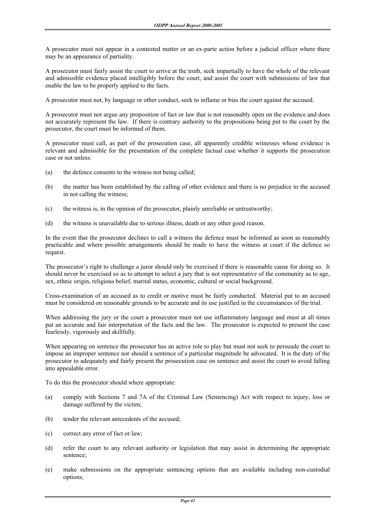A prosecutor must not appear in a contested matter or an ex-parte action before a judicial officer where there may be an appearance of partiality.

A prosecutor must fairly assist the court to arrive at the truth, seek impartially to have the whole of the relevant and admissible evidence placed intelligibly before the court, and assist the court with submissions of law that enable the law to be properly applied to the facts.

A prosecutor must not, by language or other conduct, seek to inflame or bias the court against the accused.

A prosecutor must not argue any proposition of fact or law that is not reasonably open on the evidence and does not accurately represent the law. If there is contrary authority to the propositions being put to the court by the prosecutor, the court must be informed of them.

A prosecutor must call, as part of the prosecution case, all apparently credible witnesses whose evidence is relevant and admissible for the presentation of the complete factual case whether it supports the prosecution case or not unless:

- (a) the defence consents to the witness not being called;
- (b) the matter has been established by the calling of other evidence and there is no prejudice to the accused in not calling the witness;
- (c) the witness is, in the opinion of the prosecutor, plainly unreliable or untrustworthy;
- (d) the witness is unavailable due to serious illness, death or any other good reason.

In the event that the prosecutor declines to call a witness the defence must be informed as soon as reasonably practicable and where possible arrangements should be made to have the witness at court if the defence so request.

The prosecutor's right to challenge a juror should only be exercised if there is reasonable cause for doing so. It should never be exercised so as to attempt to select a jury that is not representative of the community as to age, sex, ethnic origin, religious belief, marital status, economic, cultural or social background.

Cross-examination of an accused as to credit or motive must be fairly conducted. Material put to an accused must be considered on reasonable grounds to be accurate and its use justified in the circumstances of the trial.

When addressing the jury or the court a prosecutor must not use inflammatory language and must at all times put an accurate and fair interpretation of the facts and the law. The prosecutor is expected to present the case fearlessly, vigorously and skillfully.

When appearing on sentence the prosecutor has an active role to play but must not seek to persuade the court to impose an improper sentence nor should a sentence of a particular magnitude be advocated. It is the duty of the prosecutor to adequately and fairly present the prosecution case on sentence and assist the court to avoid falling into appealable error.

To do this the prosecutor should where appropriate:

- (a) comply with Sections 7 and 7A of the Criminal Law (Sentencing) Act with respect to injury, loss or damage suffered by the victim;
- (b) tender the relevant antecedents of the accused;
- (c) correct any error of fact or law;
- (d) refer the court to any relevant authority or legislation that may assist in determining the appropriate sentence;
- (e) make submissions on the appropriate sentencing options that are available including non-custodial options;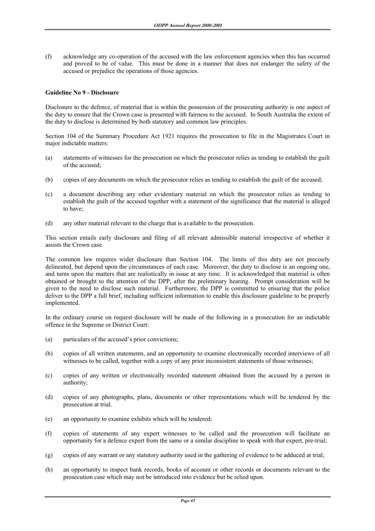(f) acknowledge any co-operation of the accused with the law enforcement agencies when this has occurred and proved to be of value. This must be done in a manner that does not endanger the safety of the accused or prejudice the operations of those agencies.

## **Guideline No 9 - Disclosure**

Disclosure to the defence, of material that is within the possession of the prosecuting authority is one aspect of the duty to ensure that the Crown case is presented with fairness to the accused. In South Australia the extent of the duty to disclose is determined by both statutory and common law principles.

Section 104 of the Summary Procedure Act 1921 requires the prosecution to file in the Magistrates Court in major indictable matters:

- (a) statements of witnesses for the prosecution on which the prosecutor relies as tending to establish the guilt of the accused;
- (b) copies of any documents on which the prosecutor relies as tending to establish the guilt of the accused;
- (c) a document describing any other evidentiary material on which the prosecutor relies as tending to establish the guilt of the accused together with a statement of the significance that the material is alleged to have;
- (d) any other material relevant to the charge that is available to the prosecution.

This section entails early disclosure and filing of all relevant admissible material irrespective of whether it assists the Crown case.

The common law requires wider disclosure than Section 104. The limits of this duty are not precisely delineated, but depend upon the circumstances of each case. Moreover, the duty to disclose is an ongoing one, and turns upon the matters that are realistically in issue at any time. It is acknowledged that material is often obtained or brought to the attention of the DPP, after the preliminary hearing. Prompt consideration will be given to the need to disclose such material. Furthermore, the DPP is committed to ensuring that the police deliver to the DPP a full brief, including sufficient information to enable this disclosure guideline to be properly implemented.

In the ordinary course on request disclosure will be made of the following in a prosecution for an indictable offence in the Supreme or District Court:

- (a) particulars of the accused's prior convictions;
- (b) copies of all written statements, and an opportunity to examine electronically recorded interviews of all witnesses to be called, together with a copy of any prior inconsistent statements of those witnesses;
- (c) copies of any written or electronically recorded statement obtained from the accused by a person in authority;
- (d) copies of any photographs, plans, documents or other representations which will be tendered by the prosecution at trial.
- (e) an opportunity to examine exhibits which will be tendered;
- (f) copies of statements of any expert witnesses to be called and the prosecution will facilitate an opportunity for a defence expert from the same or a similar discipline to speak with that expert, pre-trial;
- (g) copies of any warrant or any statutory authority used in the gathering of evidence to be adduced at trial;
- (h) an opportunity to inspect bank records, books of account or other records or documents relevant to the prosecution case which may not be introduced into evidence but be relied upon.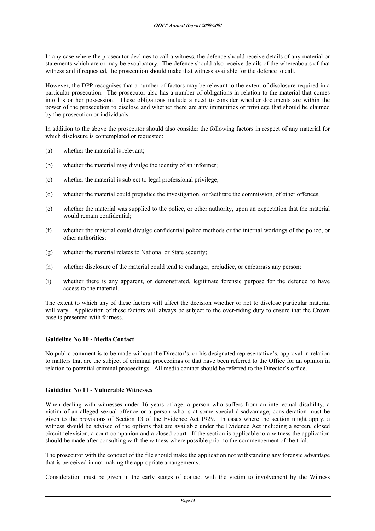In any case where the prosecutor declines to call a witness, the defence should receive details of any material or statements which are or may be exculpatory. The defence should also receive details of the whereabouts of that witness and if requested, the prosecution should make that witness available for the defence to call.

However, the DPP recognises that a number of factors may be relevant to the extent of disclosure required in a particular prosecution. The prosecutor also has a number of obligations in relation to the material that comes into his or her possession. These obligations include a need to consider whether documents are within the power of the prosecution to disclose and whether there are any immunities or privilege that should be claimed by the prosecution or individuals.

In addition to the above the prosecutor should also consider the following factors in respect of any material for which disclosure is contemplated or requested:

- (a) whether the material is relevant;
- (b) whether the material may divulge the identity of an informer;
- (c) whether the material is subject to legal professional privilege;
- (d) whether the material could prejudice the investigation, or facilitate the commission, of other offences;
- (e) whether the material was supplied to the police, or other authority, upon an expectation that the material would remain confidential;
- (f) whether the material could divulge confidential police methods or the internal workings of the police, or other authorities;
- (g) whether the material relates to National or State security;
- (h) whether disclosure of the material could tend to endanger, prejudice, or embarrass any person;
- (i) whether there is any apparent, or demonstrated, legitimate forensic purpose for the defence to have access to the material.

The extent to which any of these factors will affect the decision whether or not to disclose particular material will vary. Application of these factors will always be subject to the over-riding duty to ensure that the Crown case is presented with fairness.

## **Guideline No 10 - Media Contact**

No public comment is to be made without the Director's, or his designated representative's, approval in relation to matters that are the subject of criminal proceedings or that have been referred to the Office for an opinion in relation to potential criminal proceedings. All media contact should be referred to the Director's office.

## **Guideline No 11 - Vulnerable Witnesses**

When dealing with witnesses under 16 years of age, a person who suffers from an intellectual disability, a victim of an alleged sexual offence or a person who is at some special disadvantage, consideration must be given to the provisions of Section 13 of the Evidence Act 1929. In cases where the section might apply, a witness should be advised of the options that are available under the Evidence Act including a screen, closed circuit television, a court companion and a closed court. If the section is applicable to a witness the application should be made after consulting with the witness where possible prior to the commencement of the trial.

The prosecutor with the conduct of the file should make the application not withstanding any forensic advantage that is perceived in not making the appropriate arrangements.

Consideration must be given in the early stages of contact with the victim to involvement by the Witness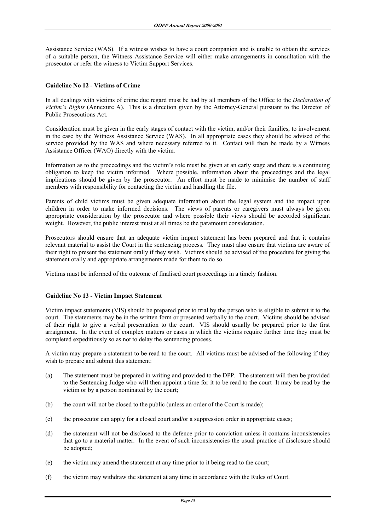Assistance Service (WAS). If a witness wishes to have a court companion and is unable to obtain the services of a suitable person, the Witness Assistance Service will either make arrangements in consultation with the prosecutor or refer the witness to Victim Support Services.

## **Guideline No 12 - Victims of Crime**

In all dealings with victims of crime due regard must be had by all members of the Office to the *Declaration of Victim's Rights* (Annexure A). This is a direction given by the Attorney-General pursuant to the Director of Public Prosecutions Act.

Consideration must be given in the early stages of contact with the victim, and/or their families, to involvement in the case by the Witness Assistance Service (WAS). In all appropriate cases they should be advised of the service provided by the WAS and where necessary referred to it. Contact will then be made by a Witness Assistance Officer (WAO) directly with the victim.

Information as to the proceedings and the victim's role must be given at an early stage and there is a continuing obligation to keep the victim informed. Where possible, information about the proceedings and the legal implications should be given by the prosecutor. An effort must be made to minimise the number of staff members with responsibility for contacting the victim and handling the file.

Parents of child victims must be given adequate information about the legal system and the impact upon children in order to make informed decisions. The views of parents or caregivers must always be given appropriate consideration by the prosecutor and where possible their views should be accorded significant weight. However, the public interest must at all times be the paramount consideration.

Prosecutors should ensure that an adequate victim impact statement has been prepared and that it contains relevant material to assist the Court in the sentencing process. They must also ensure that victims are aware of their right to present the statement orally if they wish. Victims should be advised of the procedure for giving the statement orally and appropriate arrangements made for them to do so.

Victims must be informed of the outcome of finalised court proceedings in a timely fashion.

## **Guideline No 13 - Victim Impact Statement**

Victim impact statements (VIS) should be prepared prior to trial by the person who is eligible to submit it to the court. The statements may be in the written form or presented verbally to the court. Victims should be advised of their right to give a verbal presentation to the court. VIS should usually be prepared prior to the first arraignment. In the event of complex matters or cases in which the victims require further time they must be completed expeditiously so as not to delay the sentencing process.

A victim may prepare a statement to be read to the court. All victims must be advised of the following if they wish to prepare and submit this statement:

- (a) The statement must be prepared in writing and provided to the DPP. The statement will then be provided to the Sentencing Judge who will then appoint a time for it to be read to the court It may be read by the victim or by a person nominated by the court;
- (b) the court will not be closed to the public (unless an order of the Court is made);
- (c) the prosecutor can apply for a closed court and/or a suppression order in appropriate cases;
- (d) the statement will not be disclosed to the defence prior to conviction unless it contains inconsistencies that go to a material matter. In the event of such inconsistencies the usual practice of disclosure should be adopted;
- (e) the victim may amend the statement at any time prior to it being read to the court;
- (f) the victim may withdraw the statement at any time in accordance with the Rules of Court.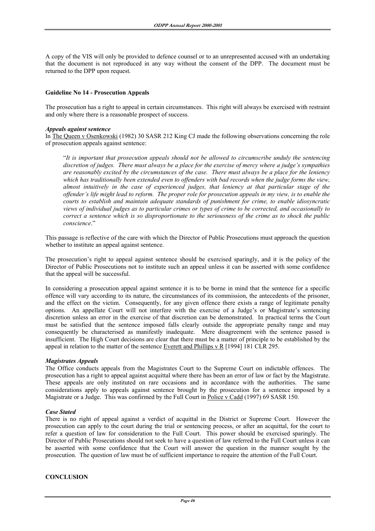A copy of the VIS will only be provided to defence counsel or to an unrepresented accused with an undertaking that the document is not reproduced in any way without the consent of the DPP. The document must be returned to the DPP upon request.

## **Guideline No 14 - Prosecution Appeals**

The prosecution has a right to appeal in certain circumstances. This right will always be exercised with restraint and only where there is a reasonable prospect of success.

## *Appeals against sentence*

In The Queen v Osenkowski (1982) 30 SASR 212 King CJ made the following observations concerning the role of prosecution appeals against sentence:

 "*It is important that prosecution appeals should not be allowed to circumscribe unduly the sentencing discretion of judges. There must always be a place for the exercise of mercy where a judge's sympathies are reasonably excited by the circumstances of the case. There must always be a place for the leniency which has traditionally been extended even to offenders with bad records when the judge forms the view, almost intuitively in the case of experienced judges, that leniency at that particular stage of the offender's life might lead to reform. The proper role for prosecution appeals in my view, is to enable the courts to establish and maintain adequate standards of punishment for crime, to enable idiosyncratic views of individual judges as to particular crimes or types of crime to be corrected, and occasionally to correct a sentence which is so disproportionate to the seriousness of the crime as to shock the public conscience*."

This passage is reflective of the care with which the Director of Public Prosecutions must approach the question whether to institute an appeal against sentence.

The prosecution's right to appeal against sentence should be exercised sparingly, and it is the policy of the Director of Public Prosecutions not to institute such an appeal unless it can be asserted with some confidence that the appeal will be successful.

In considering a prosecution appeal against sentence it is to be borne in mind that the sentence for a specific offence will vary according to its nature, the circumstances of its commission, the antecedents of the prisoner, and the effect on the victim. Consequently, for any given offence there exists a range of legitimate penalty options. An appellate Court will not interfere with the exercise of a Judge's or Magistrate's sentencing discretion unless an error in the exercise of that discretion can be demonstrated. In practical terms the Court must be satisfied that the sentence imposed falls clearly outside the appropriate penalty range and may consequently be characterised as manifestly inadequate. Mere disagreement with the sentence passed is insufficient. The High Court decisions are clear that there must be a matter of principle to be established by the appeal in relation to the matter of the sentence Everett and Phillips v R [1994] 181 CLR 295.

## *Magistrates Appeals*

The Office conducts appeals from the Magistrates Court to the Supreme Court on indictable offences. The prosecution has a right to appeal against acquittal where there has been an error of law or fact by the Magistrate. These appeals are only instituted on rare occasions and in accordance with the authorities. The same considerations apply to appeals against sentence brought by the prosecution for a sentence imposed by a Magistrate or a Judge. This was confirmed by the Full Court in Police v Cadd (1997) 69 SASR 150.

## *Case Stated*

There is no right of appeal against a verdict of acquittal in the District or Supreme Court. However the prosecution can apply to the court during the trial or sentencing process, or after an acquittal, for the court to refer a question of law for consideration to the Full Court. This power should be exercised sparingly. The Director of Public Prosecutions should not seek to have a question of law referred to the Full Court unless it can be asserted with some confidence that the Court will answer the question in the manner sought by the prosecution. The question of law must be of sufficient importance to require the attention of the Full Court.

# **CONCLUSION**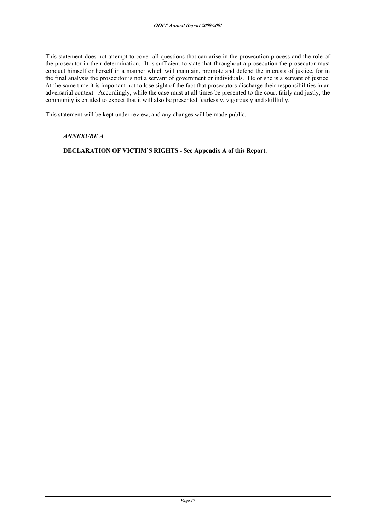This statement does not attempt to cover all questions that can arise in the prosecution process and the role of the prosecutor in their determination. It is sufficient to state that throughout a prosecution the prosecutor must conduct himself or herself in a manner which will maintain, promote and defend the interests of justice, for in the final analysis the prosecutor is not a servant of government or individuals. He or she is a servant of justice. At the same time it is important not to lose sight of the fact that prosecutors discharge their responsibilities in an adversarial context. Accordingly, while the case must at all times be presented to the court fairly and justly, the community is entitled to expect that it will also be presented fearlessly, vigorously and skillfully.

This statement will be kept under review, and any changes will be made public.

# *ANNEXURE A*

 **DECLARATION OF VICTIM'S RIGHTS - See Appendix A of this Report.**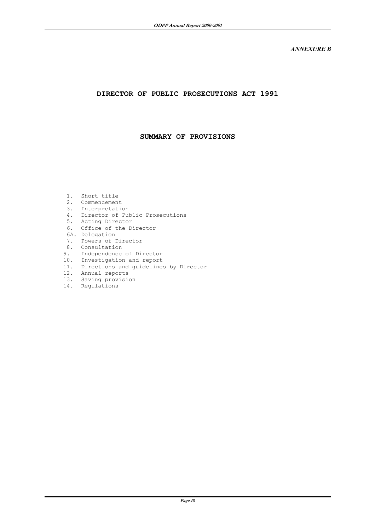*ANNEXURE B* 

# **DIRECTOR OF PUBLIC PROSECUTIONS ACT 1991**

# **SUMMARY OF PROVISIONS**

- 1. Short title
- 2. Commencement
- 3. Interpretation
- 4. Director of Public Prosecutions
- 5. Acting Director
- 6. Office of the Director
- 6A. Delegation
- 7. Powers of Director
- 8. Consultation
- 9. Independence of Director
	- 10. Investigation and report
	- 11. Directions and guidelines by Director
- 12. Annual reports
- 13. Saving provision
- 14. Regulations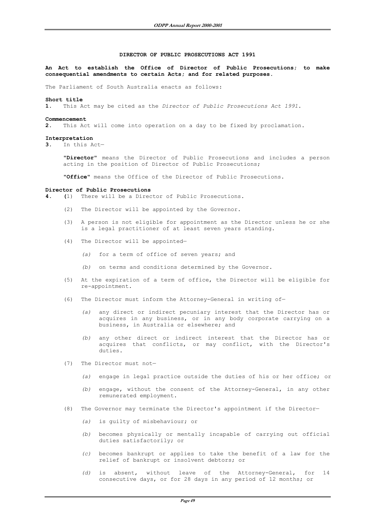#### **DIRECTOR OF PUBLIC PROSECUTIONS ACT 1991**

**An Act to establish the Office of Director of Public Prosecutions; to make consequential amendments to certain Acts; and for related purposes.**

The Parliament of South Australia enacts as follows:

#### **Short title**

**1.** This Act may be cited as the *Director of Public Prosecutions Act 1991*.

#### **Commencement**

**2.** This Act will come into operation on a day to be fixed by proclamation.

#### **Interpretation**

**3.** In this Act—

 "**Director**" means the Director of Public Prosecutions and includes a person acting in the position of Director of Public Prosecutions;

"**Office**" means the Office of the Director of Public Prosecutions.

#### **Director of Public Prosecutions**

**4. (**1) There will be a Director of Public Prosecutions.

- (2) The Director will be appointed by the Governor.
- (3) A person is not eligible for appointment as the Director unless he or she is a legal practitioner of at least seven years standing.
- (4) The Director will be appointed—
	- *(a)* for a term of office of seven years; and
	- *(b)* on terms and conditions determined by the Governor.
- (5) At the expiration of a term of office, the Director will be eligible for re-appointment.
- (6) The Director must inform the Attorney-General in writing of—
	- *(a)* any direct or indirect pecuniary interest that the Director has or acquires in any business, or in any body corporate carrying on a business, in Australia or elsewhere; and
	- *(b)* any other direct or indirect interest that the Director has or acquires that conflicts, or may conflict, with the Director's duties.
- (7) The Director must not—
	- *(a)* engage in legal practice outside the duties of his or her office; or
	- *(b)* engage, without the consent of the Attorney-General, in any other remunerated employment.
- (8) The Governor may terminate the Director's appointment if the Director—
	- *(a)* is guilty of misbehaviour; or
	- *(b)* becomes physically or mentally incapable of carrying out official duties satisfactorily; or
	- *(c)* becomes bankrupt or applies to take the benefit of a law for the relief of bankrupt or insolvent debtors; or
	- *(d)* is absent, without leave of the Attorney-General, for 14 consecutive days, or for 28 days in any period of 12 months; or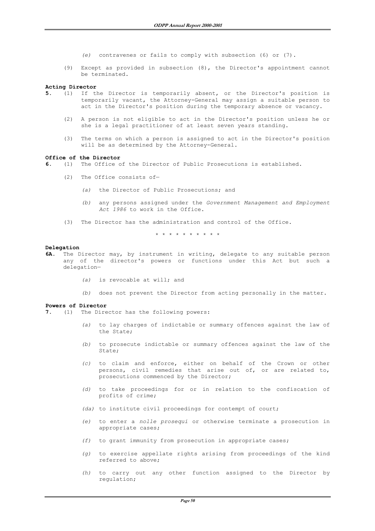- *(e)* contravenes or fails to comply with subsection (6) or (7).
- (9) Except as provided in subsection (8), the Director's appointment cannot be terminated.

#### **Acting Director**

- **5.** (1) If the Director is temporarily absent, or the Director's position is temporarily vacant, the Attorney-General may assign a suitable person to act in the Director's position during the temporary absence or vacancy.
	- (2) A person is not eligible to act in the Director's position unless he or she is a legal practitioner of at least seven years standing.
	- (3) The terms on which a person is assigned to act in the Director's position will be as determined by the Attorney-General.

#### **Office of the Director**

- **6.** (1) The Office of the Director of Public Prosecutions is established.
	- (2) The Office consists of—
		- *(a)* the Director of Public Prosecutions; and
		- *(b)* any persons assigned under the *Government Management and Employment Act 1986* to work in the Office.
	- (3) The Director has the administration and control of the Office.

\* \* \* \* \* \* \* \* \*

#### **Delegation**

- **6A.** The Director may, by instrument in writing, delegate to any suitable person any of the director's powers or functions under this Act but such a delegation—
	- *(a)* is revocable at will; and
	- *(b)* does not prevent the Director from acting personally in the matter.

# **Powers of Director**<br>**7.** (1) The Dire

The Director has the following powers:

- *(a)* to lay charges of indictable or summary offences against the law of the State;
- *(b)* to prosecute indictable or summary offences against the law of the State;
- *(c)* to claim and enforce, either on behalf of the Crown or other persons, civil remedies that arise out of, or are related to, prosecutions commenced by the Director;
- *(d)* to take proceedings for or in relation to the confiscation of profits of crime;
- *(da)* to institute civil proceedings for contempt of court;
- *(e)* to enter a *nolle prosequi* or otherwise terminate a prosecution in appropriate cases;
- *(f)* to grant immunity from prosecution in appropriate cases;
- *(g)* to exercise appellate rights arising from proceedings of the kind referred to above;
- *(h)* to carry out any other function assigned to the Director by regulation;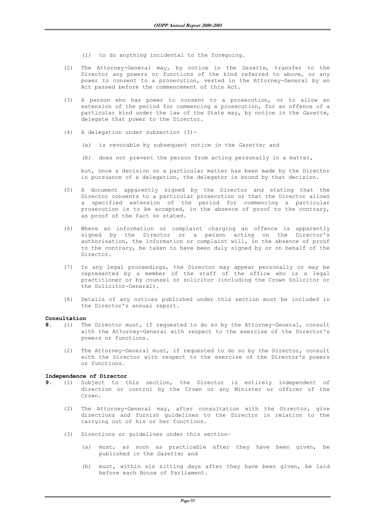- *(i)* to do anything incidental to the foregoing.
- (2) The Attorney-General may, by notice in the *Gazette*, transfer to the Director any powers or functions of the kind referred to above, or any power to consent to a prosecution, vested in the Attorney-General by an Act passed before the commencement of this Act.
- (3) A person who has power to consent to a prosecution, or to allow an extension of the period for commencing a prosecution, for an offence of a particular kind under the law of the State may, by notice in the *Gazette*, delegate that power to the Director.
- (4) A delegation under subsection (3)—
	- *(a)* is revocable by subsequent notice in the *Gazette*; and
	- *(b)* does not prevent the person from acting personally in a matter,

 but, once a decision on a particular matter has been made by the Director in pursuance of a delegation, the delegator is bound by that decision.

- (5) A document apparently signed by the Director and stating that the Director consents to a particular prosecution or that the Director allows a specified extension of the period for commencing a particular prosecution is to be accepted, in the absence of proof to the contrary, as proof of the fact so stated.
- (6) Where an information or complaint charging an offence is apparently signed by the Director or a person acting on the Director's authorisation, the information or complaint will, in the absence of proof to the contrary, be taken to have been duly signed by or on behalf of the Director.
- (7) In any legal proceedings, the Director may appear personally or may be represented by a member of the staff of the office who is a legal practitioner or by counsel or solicitor (including the Crown Solicitor or the Solicitor-General).
- (8) Details of any notices published under this section must be included in the Director's annual report.

#### **Consultation**

- **8.** (1) The Director must, if requested to do so by the Attorney-General, consult with the Attorney-General with respect to the exercise of the Director's powers or functions.
	- (2) The Attorney-General must, if requested to do so by the Director, consult with the Director with respect to the exercise of the Director's powers or functions.

#### **Independence of Director**

- **9.** (1) Subject to this section, the Director is entirely independent of direction or control by the Crown or any Minister or officer of the Crown.
	- (2) The Attorney-General may, after consultation with the Director, give directions and furnish guidelines to the Director in relation to the carrying out of his or her functions.
	- (3) Directions or guidelines under this section—
		- *(a)* must, as soon as practicable after they have been given, be published in the *Gazette*; and
		- *(b)* must, within six sitting days after they have been given, be laid before each House of Parliament.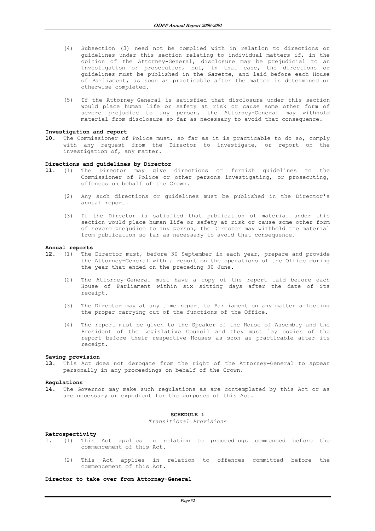- (4) Subsection (3) need not be complied with in relation to directions or guidelines under this section relating to individual matters if, in the opinion of the Attorney-General, disclosure may be prejudicial to an investigation or prosecution, but, in that case, the directions or guidelines must be published in the *Gazette*, and laid before each House of Parliament, as soon as practicable after the matter is determined or otherwise completed.
- (5) If the Attorney-General is satisfied that disclosure under this section would place human life or safety at risk or cause some other form of severe prejudice to any person, the Attorney-General may withhold material from disclosure so far as necessary to avoid that consequence.

#### **Investigation and report**

**10.** The Commissioner of Police must, so far as it is practicable to do so, comply with any request from the Director to investigate, or report on the investigation of, any matter.

#### **Directions and guidelines by Director**

- **11.** (1) The Director may give directions or furnish guidelines to the Commissioner of Police or other persons investigating, or prosecuting, offences on behalf of the Crown.
	- (2) Any such directions or guidelines must be published in the Director's annual report.
	- (3) If the Director is satisfied that publication of material under this section would place human life or safety at risk or cause some other form of severe prejudice to any person, the Director may withhold the material from publication so far as necessary to avoid that consequence.

#### **Annual reports**

- **12.** (1) The Director must, before 30 September in each year, prepare and provide the Attorney-General with a report on the operations of the Office during the year that ended on the preceding 30 June.
	- (2) The Attorney-General must have a copy of the report laid before each House of Parliament within six sitting days after the date of its receipt.
	- (3) The Director may at any time report to Parliament on any matter affecting the proper carrying out of the functions of the Office.
	- (4) The report must be given to the Speaker of the House of Assembly and the President of the Legislative Council and they must lay copies of the report before their respective Houses as soon as practicable after its receipt.

#### **Saving provision**

**13.** This Act does not derogate from the right of the Attorney-General to appear personally in any proceedings on behalf of the Crown.

#### **Regulations**

**14.** The Governor may make such regulations as are contemplated by this Act or as are necessary or expedient for the purposes of this Act.

#### **SCHEDULE 1**

*Transitional Provisions*

#### **Retrospectivity**

- 1. (1) This Act applies in relation to proceedings commenced before the commencement of this Act.
	- (2) This Act applies in relation to offences committed before the commencement of this Act.

**Director to take over from Attorney-General**